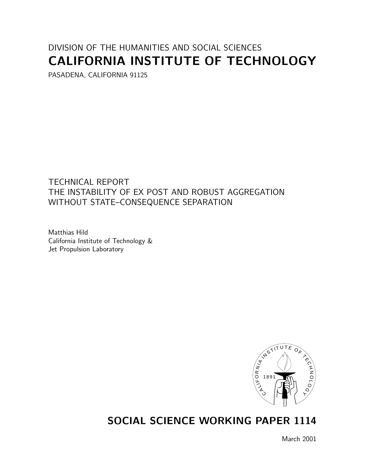# DIVISION OF THE HUMANITIES AND SOCIAL SCIENCES CALIFORNIA INSTITUTE OF TECHNOLOGY

PASADENA, CALIFORNIA 91125

TECHNICAL REPORT THE INSTABILITY OF EX POST AND ROBUST AGGREGATION WITHOUT STATE–CONSEQUENCE SEPARATION

Matthias Hild California Institute of Technology & Jet Propulsion Laboratory



# SOCIAL SCIENCE WORKING PAPER 1114

March 2001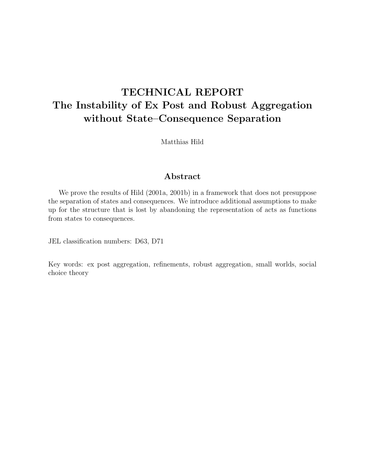# TECHNICAL REPORT The Instability of Ex Post and Robust Aggregation without State–Consequence Separation

Matthias Hild

#### Abstract

We prove the results of Hild (2001a, 2001b) in a framework that does not presuppose the separation of states and consequences. We introduce additional assumptions to make up for the structure that is lost by abandoning the representation of acts as functions from states to consequences.

JEL classification numbers: D63, D71

Key words: ex post aggregation, refinements, robust aggregation, small worlds, social choice theory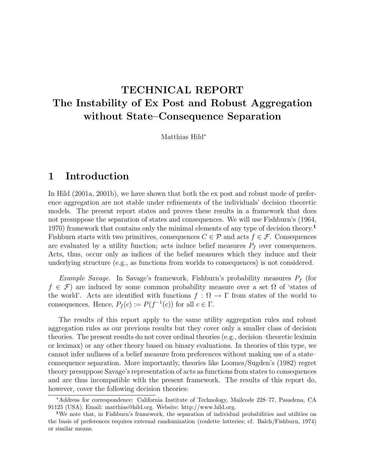## TECHNICAL REPORT The Instability of Ex Post and Robust Aggregation without State–Consequence Separation

Matthias Hild<sup>∗</sup>

## 1 Introduction

In Hild (2001a, 2001b), we have shown that both the ex post and robust mode of preference aggregation are not stable under refinements of the individuals' decision–theoretic models. The present report states and proves these results in a framework that does not presuppose the separation of states and consequences. We will use Fishburn's (1964, 1970) framework that contains only the minimal elements of any type of decision theory.<sup>1</sup> Fishburn starts with two primitives, consequences  $C \in \mathcal{P}$  and acts  $f \in \mathcal{F}$ . Consequences are evaluated by a utility function; acts induce belief measures  $P_f$  over consequences. Acts, thus, occur only as indices of the belief measures which they induce and their underlying structure (e.g., as functions from worlds to consequences) is not considered.

*Example Savage.* In Savage's framework, Fishburn's probability measures  $P_f$  (for  $f \in \mathcal{F}$  are induced by some common probability measure over a set  $\Omega$  of 'states of the world'. Acts are identified with functions  $f : \Omega \to \Gamma$  from states of the world to consequences. Hence,  $P_f(c) := P(f^{-1}(c))$  for all  $c \in \Gamma$ .

The results of this report apply to the same utility aggregation rules and robust aggregation rules as our previous results but they cover only a smaller class of decision theories. The present results do not cover ordinal theories (e.g., decision–theoretic leximin or leximax) or any other theory based on binary evaluations. In theories of this type, we cannot infer nullness of a belief measure from preferences without making use of a state– consequence separation. More importantly, theories like Loomes/Sugden's (1982) regret theory presuppose Savage's representation of acts as functions from states to consequences and are thus incompatible with the present framework. The results of this report do, however, cover the following decision theories:

<sup>∗</sup>Address for correspondence: California Institute of Technology, Mailcode 228–77, Pasadena, CA 91125 (USA). Email: matthias@hild.org. Website: http://www.hild.org.

<sup>1</sup>We note that, in Fishburn's framework, the separation of individual probabilities and utilities on the basis of preferences requires external randomization (roulette–lotteries; cf. Balch/Fishburn, 1974) or similar means.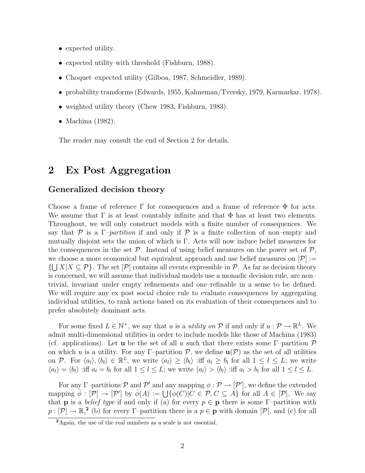- expected utility.
- expected utility with threshold (Fishburn, 1988).
- Choquet–expected utility (Gilboa, 1987, Schmeidler, 1989).
- probability transforms (Edwards, 1955, Kahneman/Tversky, 1979, Karmarkar, 1978).
- weighted utility theory (Chew 1983, Fishburn, 1983).
- Machina  $(1982)$ .

The reader may consult the end of Section 2 for details.

## 2 Ex Post Aggregation

#### Generalized decision theory

Choose a frame of reference  $\Gamma$  for consequences and a frame of reference  $\Phi$  for acts. We assume that  $\Gamma$  is at least countably infinite and that  $\Phi$  has at least two elements. Throughout, we will only construct models with a finite number of consequences. We say that P is a  $\Gamma$ -partition if and only if P is a finite collection of non-empty and mutually disjoint sets the union of which is Γ. Acts will now induce belief measures for the consequences in the set  $\mathcal P$ . Instead of using belief measures on the power set of  $\mathcal P$ , we choose a more economical but equivalent approach and use belief measures on  $\mathcal{P}$  :=  $\{\bigcup X | X \subseteq \mathcal{P}\}.$  The set  $[\mathcal{P}]$  contains all events expressible in  $\mathcal{P}$ . As far as decision theory is concerned, we will assume that individual models use a monadic decision rule, are non– trivial, invariant under empty refinements and one–refinable in a sense to be defined. We will require any ex post social choice rule to evaluate consequences by aggregating individual utilities, to rank actions based on its evaluation of their consequences and to prefer absolutely dominant acts.

For some fixed  $L \in \mathbb{N}^+$ , we say that u is a *utility on*  $\mathcal P$  if and only if  $u : \mathcal P \to \mathbb{R}^L$ . We admit multi-dimensional utilities in order to include models like those of Machina (1983) (cf. applications). Let **u** be the set of all u such that there exists some  $\Gamma$ -partition  $\mathcal{P}$ on which u is a utility. For any Γ–partition P, we define  $\mathbf{u}(\mathcal{P})$  as the set of all utilities on P. For  $\langle a_l \rangle, \langle b_l \rangle \in \mathbb{R}^L$ , we write  $\langle a_l \rangle \geq \langle b_l \rangle$  :iff  $a_l \geq b_l$  for all  $1 \leq l \leq L$ ; we write  $\langle a_l \rangle = \langle b_l \rangle$  :iff  $a_l = b_l$  for all  $1 \leq l \leq L$ ; we write  $\langle a_l \rangle > \langle b_l \rangle$  :iff  $a_l > b_l$  for all  $1 \leq l \leq L$ .

For any  $\Gamma$ -partitions  $\mathcal P$  and  $\mathcal P'$  and any mapping  $\phi : \mathcal P \to [\mathcal P'],$  we define the extended mapping  $\bar{\phi}: [\mathcal{P}] \to [\mathcal{P}']$  by  $\bar{\phi}(A) := \bigcup \{ \phi(C) | C \in \mathcal{P}, C \subseteq A \}$  for all  $A \in [\mathcal{P}]$ . We say that **p** is a *belief type* if and only if (a) for every  $p \in \mathbf{p}$  there is some Γ–partition with  $p: [\mathcal{P}] \to \mathbb{R}^2$  (b) for every  $\Gamma$ -partition there is a  $p \in \mathbf{p}$  with domain  $[\mathcal{P}]$ , and (c) for all

<sup>&</sup>lt;sup>2</sup>Again, the use of the real numbers as a scale is not essential.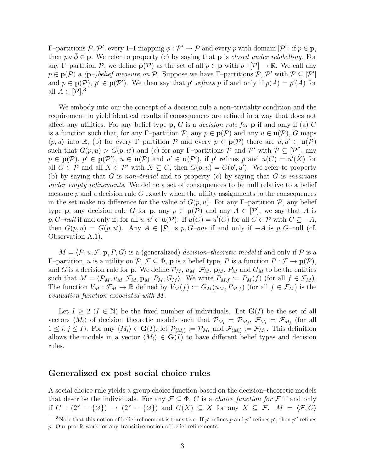$\Gamma$ -partitions  $\mathcal{P}, \mathcal{P}',$  every 1-1 mapping  $\phi : \mathcal{P}' \to \mathcal{P}$  and every p with domain  $[\mathcal{P}]$ : if  $p \in \mathbf{p},$ then  $p \circ \overline{\phi} \in \mathbf{p}$ . We refer to property (c) by saying that **p** is *closed under relabelling*. For any Γ–partition P, we define  $p(\mathcal{P})$  as the set of all  $p \in p$  with  $p : [\mathcal{P}] \to \mathbb{R}$ . We call any  $p \in \mathbf{p}(\mathcal{P})$  a  $(\mathbf{p} -)$ belief measure on  $\mathcal{P}$ . Suppose we have  $\Gamma$ -partitions  $\mathcal{P}, \mathcal{P}'$  with  $\mathcal{P} \subseteq [\mathcal{P}']$ and  $p \in \mathbf{p}(\mathcal{P})$ ,  $p' \in \mathbf{p}(\mathcal{P}')$ . We then say that p' refines p if and only if  $p(A) = p'(A)$  for all  $A \in [\mathcal{P}].^3$ 

We embody into our the concept of a decision rule a non–triviality condition and the requirement to yield identical results if consequences are refined in a way that does not affect any utilities. For any belief type  $p$ , G is a *decision rule for*  $p$  if and only if (a) G is a function such that, for any Γ–partition P, any  $p \in \mathbf{p}(\mathcal{P})$  and any  $u \in \mathbf{u}(\mathcal{P})$ , G maps  $\langle p, u \rangle$  into R, (b) for every Γ–partition P and every  $p \in \mathbf{p}(\mathcal{P})$  there are  $u, u' \in \mathbf{u}(\mathcal{P})$ such that  $G(p, u) > G(p, u')$  and (c) for any Γ-partitions  $\mathcal{P}$  and  $\mathcal{P}'$  with  $\mathcal{P} \subseteq [\mathcal{P}']$ , any  $p \in \mathbf{p}(\mathcal{P}), p' \in \mathbf{p}(\mathcal{P}'), u \in \mathbf{u}(\mathcal{P})$  and  $u' \in \mathbf{u}(\mathcal{P}'),$  if p' refines p and  $u(C) = u'(X)$  for all  $C \in \mathcal{P}$  and all  $X \in \mathcal{P}'$  with  $X \subseteq C$ , then  $G(p, u) = G(p', u')$ . We refer to property (b) by saying that G is non–trivial and to property (c) by saying that G is invariant under empty refinements. We define a set of consequences to be null relative to a belief measure  $p$  and a decision rule  $G$  exactly when the utility assignments to the consequences in the set make no difference for the value of  $G(p, u)$ . For any Γ–partition P, any belief type **p**, any decision rule G for **p**, any  $p \in \mathbf{p}(\mathcal{P})$  and any  $A \in [\mathcal{P}]$ , we say that A is p, G-null if and only if, for all  $u, u' \in \mathbf{u}(\mathcal{P})$ : If  $u(C) = u'(C)$  for all  $C \in \mathcal{P}$  with  $C \subseteq -A$ , then  $G(p, u) = G(p, u')$ . Any  $A \in [\mathcal{P}]$  is p, G-one if and only if  $-A$  is p, G-null (cf. Observation A.1).

 $M = \langle \mathcal{P}, u, \mathcal{F}, \mathbf{p}, P, G \rangle$  is a (generalized) decision–theoretic model if and only if  $\mathcal P$  is a Γ–partition, *u* is a utility on  $\mathcal{P}, \mathcal{F} \subseteq \Phi$ , **p** is a belief type, *P* is a function  $P : \mathcal{F} \to \mathbf{p}(\mathcal{P})$ , and G is a decision rule for **p**. We define  $\mathcal{P}_M$ ,  $u_M$ ,  $\mathcal{F}_M$ ,  $\mathbf{p}_M$ ,  $P_M$  and  $G_M$  to be the entities such that  $M = \langle \mathcal{P}_M, u_M, \mathcal{F}_M, \mathbf{p}_M, P_M, G_M \rangle$ . We write  $P_{M,f} := P_M(f)$  (for all  $f \in \mathcal{F}_M$ ). The function  $V_M : \mathcal{F}_M \to \mathbb{R}$  defined by  $V_M(f) := G_M(u_M, P_{M,f})$  (for all  $f \in \mathcal{F}_M$ ) is the evaluation function associated with M.

Let  $I \geq 2$  ( $I \in \mathbb{N}$ ) be the fixed number of individuals. Let  $\mathbf{G}(I)$  be the set of all vectors  $\langle M_i \rangle$  of decision–theoretic models such that  $\mathcal{P}_{M_i} = \mathcal{P}_{M_j}$ ,  $\mathcal{F}_{M_i} = \mathcal{F}_{M_j}$  (for all  $1 \leq i, j \leq I$ ). For any  $\langle M_i \rangle \in \mathbf{G}(I)$ , let  $\mathcal{P}_{\langle M_i \rangle} := \mathcal{P}_{M_1}$  and  $\mathcal{F}_{\langle M_i \rangle} := \mathcal{F}_{M_1}$ . This definition allows the models in a vector  $\langle M_i \rangle \in \mathbf{G}(I)$  to have different belief types and decision rules.

#### Generalized ex post social choice rules

A social choice rule yields a group choice function based on the decision–theoretic models that describe the individuals. For any  $\mathcal{F} \subseteq \Phi$ , C is a *choice function for*  $\mathcal F$  if and only if  $C : (2^{\mathcal{F}} - {\{\varnothing\}}) \rightarrow (2^{\mathcal{F}} - {\{\varnothing\}})$  and  $C(X) \subseteq X$  for any  $X \subseteq \mathcal{F}$ .  $M = \langle \mathcal{F}, C \rangle$ 

<sup>&</sup>lt;sup>3</sup>Note that this notion of belief refinement is transitive: If p' refines p and p'' refines p', then p'' refines p. Our proofs work for any transitive notion of belief refinements.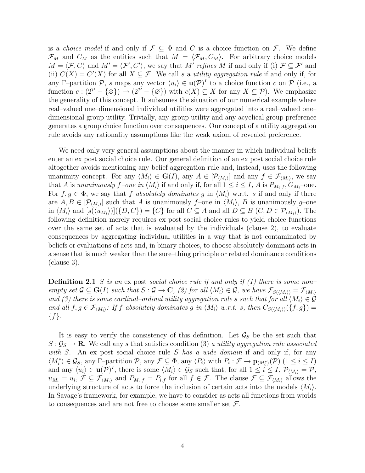is a *choice model* if and only if  $\mathcal{F} \subseteq \Phi$  and C is a choice function on F. We define  $\mathcal{F}_M$  and  $C_M$  as the entities such that  $M = \langle \mathcal{F}_M, C_M \rangle$ . For arbitrary choice models  $M = \langle \mathcal{F}, C \rangle$  and  $M' = \langle \mathcal{F}', C' \rangle$ , we say that M' refines M if and only if (i)  $\mathcal{F} \subseteq \mathcal{F}'$  and (ii)  $C(X) = C'(X)$  for all  $X \subseteq \mathcal{F}$ . We call s a *utility aggregation rule* if and only if, for any Γ–partition  $\mathcal{P}, s$  maps any vector  $\langle u_i \rangle \in \mathbf{u}(\mathcal{P})^I$  to a choice function c on  $\mathcal{P}$  (i.e., a function  $c:(2^{\mathcal{P}}-\{\emptyset\}) \to (2^{\mathcal{P}}-\{\emptyset\})$  with  $c(X) \subseteq X$  for any  $X \subseteq \mathcal{P}$ ). We emphasize the generality of this concept. It subsumes the situation of our numerical example where real–valued one–dimensional individual utilities were aggregated into a real–valued one– dimensional group utility. Trivially, any group utility and any acyclical group preference generates a group choice function over consequences. Our concept of a utility aggregation rule avoids any rationality assumptions like the weak axiom of revealed preference.

We need only very general assumptions about the manner in which individual beliefs enter an ex post social choice rule. Our general definition of an ex post social choice rule altogether avoids mentioning any belief aggregation rule and, instead, uses the following unanimity concept. For any  $\langle M_i \rangle \in \mathbf{G}(I)$ , any  $A \in [\mathcal{P}_{\langle M_i \rangle}]$  and any  $f \in \mathcal{F}_{\langle M_i \rangle}$ , we say that A is unanimously  $f$ -one in  $\langle M_i \rangle$  if and only if, for all  $1 \leq i \leq I$ , A is  $P_{M_i,f}$ ,  $G_{M_i}$ -one. For  $f, g \in \Phi$ , we say that f absolutely dominates g in  $\langle M_i \rangle$  w.r.t. s if and only if there are  $A, B \in [\mathcal{P}_{\langle M_i \rangle}]$  such that A is unanimously f-one in  $\langle M_i \rangle$ , B is unanimously g-one in  $\langle M_i \rangle$  and  $[s(\langle u_{M_i} \rangle)](\{D, C\}) = \{C\}$  for all  $C \subseteq A$  and all  $D \subseteq B$   $(C, D \in \mathcal{P}_{\langle M_i \rangle})$ . The following definition merely requires ex post social choice rules to yield choice functions over the same set of acts that is evaluated by the individuals (clause 2), to evaluate consequences by aggregating individual utilities in a way that is not contaminated by beliefs or evaluations of acts and, in binary choices, to choose absolutely dominant acts in a sense that is much weaker than the sure–thing principle or related dominance conditions (clause 3).

**Definition 2.1** S is an expost social choice rule if and only if  $(1)$  there is some non– empty set  $\mathcal{G} \subseteq \mathbf{G}(I)$  such that  $S : \mathcal{G} \to \mathbf{C}$ , (2) for all  $\langle M_i \rangle \in \mathcal{G}$ , we have  $\mathcal{F}_{S(\langle M_i \rangle)} = \mathcal{F}_{\langle M_i \rangle}$ and (3) there is some cardinal–ordinal utility aggregation rule s such that for all  $\langle M_i \rangle \in \mathcal{G}$ and all  $f, g \in \mathcal{F}_{\langle M_i \rangle}$ : If f absolutely dominates g in  $\langle M_i \rangle$  w.r.t. s, then  $C_{S(\langle M_i \rangle)}(\{f, g\})$  =  $\{f\}.$ 

It is easy to verify the consistency of this definition. Let  $\mathcal{G}_S$  be the set such that  $S: \mathcal{G}_S \to \mathbf{R}$ . We call any s that satisfies condition (3) a utility aggregation rule associated with S. An ex post social choice rule S has a wide domain if and only if, for any  $\langle M_i^* \rangle \in \mathcal{G}_S$ , any  $\Gamma$ -partition  $\mathcal{P}$ , any  $\mathcal{F} \subseteq \Phi$ , any  $\langle P_i \rangle$  with  $P_i : \mathcal{F} \to \mathbf{p}_{\langle M_i^* \rangle}(\mathcal{P})$   $(1 \leq i \leq I)$ and any  $\langle u_i \rangle \in \mathbf{u}(\mathcal{P})^I$ , there is some  $\langle M_i \rangle \in \mathcal{G}_S$  such that, for all  $1 \leq i \leq I$ ,  $\mathcal{P}_{\langle M_i \rangle} = \mathcal{P}$ ,  $u_{M_i} = u_i, \mathcal{F} \subseteq \mathcal{F}_{\langle M_i \rangle}$  and  $P_{M_i,f} = P_{i,f}$  for all  $f \in \mathcal{F}$ . The clause  $\mathcal{F} \subseteq \mathcal{F}_{\langle M_i \rangle}$  allows the underlying structure of acts to force the inclusion of certain acts into the models  $\langle M_i \rangle$ . In Savage's framework, for example, we have to consider as acts all functions from worlds to consequences and are not free to choose some smaller set  $\mathcal{F}$ .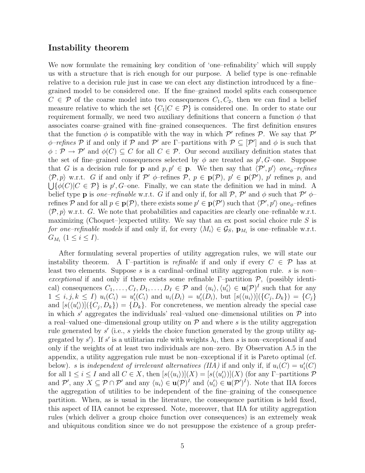#### Instability theorem

We now formulate the remaining key condition of 'one–refinability' which will supply us with a structure that is rich enough for our purpose. A belief type is one–refinable relative to a decision rule just in case we can elect any distinction introduced by a fine– grained model to be considered one. If the fine–grained model splits each consequence  $C \in \mathcal{P}$  of the coarse model into two consequences  $C_1, C_2$ , then we can find a belief measure relative to which the set  ${C_1|C \in \mathcal{P}}$  is considered one. In order to state our requirement formally, we need two auxiliary definitions that concern a function  $\phi$  that associates coarse–grained with fine–grained consequences. The first definition ensures that the function  $\phi$  is compatible with the way in which  $\mathcal{P}'$  refines  $\mathcal{P}$ . We say that  $\mathcal{P}'$  $\phi$ -refines P if and only if P and P' are Γ-partitions with  $P \subseteq [P']$  and  $\phi$  is such that  $\phi : \mathcal{P} \to \mathcal{P}'$  and  $\phi(C) \subseteq C$  for all  $C \in \mathcal{P}$ . Our second auxiliary definition states that the set of fine–grained consequences selected by  $\phi$  are treated as  $p'$ , G–one. Suppose that G is a decision rule for **p** and  $p, p' \in \mathbf{p}$ . We then say that  $\langle \mathcal{P}', p' \rangle$  one<sub> $\phi$ </sub>-refines  $\langle \mathcal{P}, p \rangle$  w.r.t. G if and only if  $\mathcal{P}'$   $\phi$ -refines  $\mathcal{P}, p \in \mathbf{p}(\mathcal{P}), p' \in \mathbf{p}(\mathcal{P}'), p'$  refines p, and  $\bigcup \{\phi(C)|C \in \mathcal{P}\}\$ is p', G-one. Finally, we can state the definition we had in mind. A belief type **p** is *one–refinable* w.r.t. G if and only if, for all P, P' and  $\phi$  such that P'  $\phi$ – refines  $\mathcal P$  and for all  $p \in \mathbf p(\mathcal P)$ , there exists some  $p' \in \mathbf p(\mathcal P')$  such that  $\langle \mathcal P', p' \rangle$  one<sub> $\phi$ </sub>-refines  $\langle \mathcal{P}, p \rangle$  w.r.t. G. We note that probabilities and capacities are clearly one–refinable w.r.t. maximizing (Choquet–)expected utility. We say that an ex post social choice rule  $S$  is for one–refinable models if and only if, for every  $\langle M_i \rangle \in \mathcal{G}_S$ ,  $\mathbf{p}_{M_i}$  is one–refinable w.r.t.  $G_{M_i}$   $(1 \leq i \leq I).$ 

After formulating several properties of utility aggregation rules, we will state our instability theorem. A Γ–partition is refinable if and only if every  $C \in \mathcal{P}$  has at least two elements. Suppose s is a cardinal–ordinal utility aggregation rule. s is non– exceptional if and only if there exists some refinable  $\Gamma$ -partition  $\mathcal{P}$ , (possibly identical) consequences  $C_1, \ldots, C_I, D_1, \ldots, D_I \in \mathcal{P}$  and  $\langle u_i \rangle, \langle u_i' \rangle$  $\langle i \rangle \in \mathbf{u}(\mathcal{P})^I$  such that for any  $1 \leq i, j, k \leq I$   $u_i(C_i) = u'_i$  $u_i'(C_i)$  and  $u_i(D_i) = u'_i$  $S_i(D_i)$ , but  $[s(\langle u_i \rangle)](\{C_j, D_k\}) = \{C_j\}$ and  $[s(\langle u'_i \rangle$  $\{i\}\left[\{(C_j, D_k\}\right] = \{D_k\}.$  For concreteness, we mention already the special case in which s' aggregates the individuals' real–valued one–dimensional utilities on  $\mathcal P$  into a real–valued one–dimensional group utility on  $\mathcal P$  and where s is the utility aggregation rule generated by  $s'$  (i.e.,  $s$  yields the choice function generated by the group utility aggregated by s'). If s' is a utilitarian rule with weights  $\lambda_i$ , then s is non-exceptional if and only if the weights of at least two individuals are non–zero. By Observation A.5 in the appendix, a utility aggregation rule must be non–exceptional if it is Pareto optimal (cf. below). *s* is *independent of irrelevant alternatives* (IIA) if and only if, if  $u_i(C) = u'_i$  $_i'(C)$ for all  $1 \leq i \leq I$  and all  $C \in X$ , then  $[s(\langle u_i \rangle)](X) = [s(\langle u_i \rangle)]$  $\binom{n}{i}$ ](X) (for any Γ-partitions  $\hat{\mathcal{P}}$ and P', any  $X \subseteq \mathcal{P} \cap \mathcal{P}'$  and any  $\langle u_i \rangle \in \mathbf{u}(\mathcal{P})^I$  and  $\langle u_i' \rangle$  $i'_{i} \in \mathbf{u}(\mathcal{P}')^{I}$ . Note that IIA forces the aggregation of utilities to be independent of the fine–graining of the consequence partition. When, as is usual in the literature, the consequence partition is held fixed, this aspect of IIA cannot be expressed. Note, moreover, that IIA for utility aggregation rules (which deliver a group choice function over consequences) is an extremely weak and ubiquitous condition since we do not presuppose the existence of a group prefer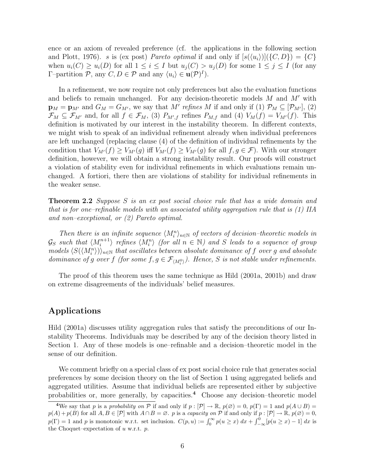ence or an axiom of revealed preference (cf. the applications in the following section and Plott, 1976). s is (ex post) Pareto optimal if and only if  $[s(\langle u_i \rangle)](\{C, D\}) = \{C\}$ when  $u_i(C) \geq u_i(D)$  for all  $1 \leq i \leq I$  but  $u_i(C) > u_i(D)$  for some  $1 \leq j \leq I$  (for any Γ–partition *P*, any *C*, *D* ∈ *P* and any  $\langle u_i \rangle$  ∈ **u**(*P*)<sup>*I*</sup>).

In a refinement, we now require not only preferences but also the evaluation functions and beliefs to remain unchanged. For any decision-theoretic models  $M$  and  $M'$  with  $\mathbf{p}_M = \mathbf{p}_{M'}$  and  $G_M = G_{M'}$ , we say that  $M'$  refines M if and only if (1)  $\mathcal{P}_M \subseteq [\mathcal{P}_{M'}],$  (2)  $\mathcal{F}_M \subseteq \mathcal{F}_{M'}$  and, for all  $f \in \mathcal{F}_M$ , (3)  $P_{M',f}$  refines  $P_{M,f}$  and (4)  $V_M(f) = V_{M'}(f)$ . This definition is motivated by our interest in the instability theorem. In different contexts, we might wish to speak of an individual refinement already when individual preferences are left unchanged (replacing clause (4) of the definition of individual refinements by the condition that  $V_{M'}(f) \geq V_{M'}(g)$  iff  $V_{M'}(f) \geq V_{M'}(g)$  for all  $f, g \in \mathcal{F}$ ). With our stronger definition, however, we will obtain a strong instability result. Our proofs will construct a violation of stability even for individual refinements in which evaluations remain unchanged. A fortiori, there then are violations of stability for individual refinements in the weaker sense.

**Theorem 2.2** Suppose S is an ex post social choice rule that has a wide domain and that is for one–refinable models with an associated utility aggregation rule that is (1) IIA and non–exceptional, or (2) Pareto optimal.

Then there is an infinite sequence  $\langle M_i^n \rangle_{n \in \mathbb{N}}$  of vectors of decision-theoretic models in  $\mathcal{G}_S$  such that  $\langle M_i^{n+1} \rangle$  refines  $\langle M_i^n \rangle$  (for all  $n \in \mathbb{N}$ ) and S leads to a sequence of group  $models \langle S(\langle M_i^n\rangle)\rangle_{n\in\mathbb{N}}$  that oscillates between absolute dominance of f over g and absolute dominance of g over f (for some  $f, g \in \mathcal{F}_{\langle M_i^0 \rangle}$ ). Hence, S is not stable under refinements.

The proof of this theorem uses the same technique as Hild (2001a, 2001b) and draw on extreme disagreements of the individuals' belief measures.

#### Applications

Hild (2001a) discusses utility aggregation rules that satisfy the preconditions of our Instability Theorems. Individuals may be described by any of the decision theory listed in Section 1. Any of these models is one–refinable and a decision–theoretic model in the sense of our definition.

We comment briefly on a special class of ex post social choice rule that generates social preferences by some decision theory on the list of Section 1 using aggregated beliefs and aggregated utilities. Assume that individual beliefs are represented either by subjective probabilities or, more generally, by capacities.<sup>4</sup> Choose any decision–theoretic model

<sup>&</sup>lt;sup>4</sup>We say that p is a probability on P if and only if  $p : [P] \to \mathbb{R}$ ,  $p(\emptyset) = 0$ ,  $p(\Gamma) = 1$  and  $p(A \cup B) = 0$  $p(A) + p(B)$  for all  $A, B \in [P]$  with  $A \cap B = \emptyset$ . p is a capacity on P if and only if  $p : [P] \to \mathbb{R}$ ,  $p(\emptyset) = 0$ ,  $p(\Gamma) = 1$  and p is monotonic w.r.t. set inclusion.  $C(p, u) := \int_0^\infty p(u \ge x) dx + \int_{-\infty}^0 [p(u \ge x) - 1] dx$  is the Choquet–expectation of  $u$  w.r.t.  $p$ .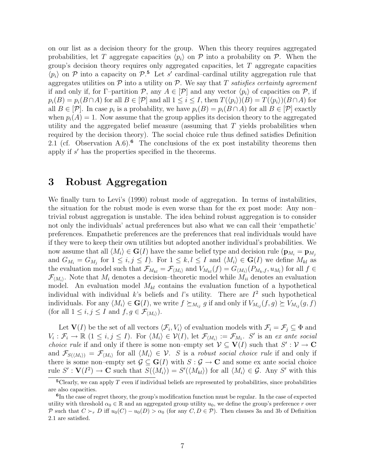on our list as a decision theory for the group. When this theory requires aggregated probabilities, let T aggregate capacities  $\langle p_i \rangle$  on P into a probability on P. When the group's decision theory requires only aggregated capacities, let  $T$  aggregate capacities  $\langle p_i \rangle$  on P into a capacity on P.<sup>5</sup> Let s' cardinal–cardinal utility aggregation rule that aggregates utilities on  $P$  into a utility on  $P$ . We say that T satisfies certainty agreement if and only if, for Γ–partition P, any  $A \in [P]$  and any vector  $\langle p_i \rangle$  of capacities on P, if  $p_i(B) = p_i(B \cap A)$  for all  $B \in [P]$  and all  $1 \leq i \leq I$ , then  $T(\langle p_i \rangle)(B) = T(\langle p_i \rangle)(B \cap A)$  for all  $B \in [\mathcal{P}]$ . In case  $p_i$  is a probability, we have  $p_i(B) = p_i(B \cap A)$  for all  $B \in [\mathcal{P}]$  exactly when  $p_i(A) = 1$ . Now assume that the group applies its decision theory to the aggregated utility and the aggregated belief measure (assuming that  $T$  yields probabilities when required by the decision theory). The social choice rule thus defined satisfies Definition 2.1 (cf. Observation A.6).<sup>6</sup> The conclusions of the ex post instability theorems then apply if  $s'$  has the properties specified in the theorems.

## 3 Robust Aggregation

We finally turn to Levi's (1990) robust mode of aggregation. In terms of instabilities, the situation for the robust mode is even worse than for the ex post mode: Any non– trivial robust aggregation is unstable. The idea behind robust aggregation is to consider not only the individuals' actual preferences but also what we can call their 'empathetic' preferences. Empathetic preferences are the preferences that real individuals would have if they were to keep their own utilities but adopted another individual's probabilities. We now assume that all  $\langle M_i \rangle \in \mathbf{G}(I)$  have the same belief type and decision rule  $(\mathbf{p}_{M_i} = \mathbf{p}_{M_j})$ and  $G_{M_i} = G_{M_j}$  for  $1 \leq i, j \leq I$ ). For  $1 \leq k, l \leq I$  and  $\langle M_i \rangle \in \mathbf{G}(I)$  we define  $M_{kl}$  as the evaluation model such that  $\mathcal{F}_{M_{kl}} = \mathcal{F}_{\langle M_i \rangle}$  and  $V_{M_{kl}}(f) = G_{\langle M_i \rangle}(P_{M_k,f}, u_{M_l})$  for all  $f \in$  $\mathcal{F}_{(M_i)}$ . Note that  $M_i$  denotes a decision–theoretic model while  $M_{ii}$  denotes an evaluation model. An evaluation model  $M_{kl}$  contains the evaluation function of a hypothetical individual with individual  $k$ 's beliefs and l's utility. There are  $I^2$  such hypothetical individuals. For any  $\langle M_i \rangle \in \mathbf{G}(I)$ , we write  $f \succeq_{M_{ij}} g$  if and only if  $V_{M_{ij}}(f, g) \succeq V_{M_{ij}}(g, f)$ (for all  $1 \leq i, j \leq I$  and  $f, g \in \mathcal{F}_{\langle M_i \rangle}$ ).

Let  $\mathbf{V}(I)$  be the set of all vectors  $\langle \mathcal{F}_i, V_i \rangle$  of evaluation models with  $\mathcal{F}_i = \mathcal{F}_j \subseteq \Phi$  and  $V_i: \mathcal{F}_i \to \mathbb{R}$   $(1 \leq i, j \leq I)$ . For  $\langle M_i \rangle \in \mathcal{V}(I)$ , let  $\mathcal{F}_{\langle M_i \rangle} := \mathcal{F}_{M_1}$ . S' is an ex ante social *choice rule* if and only if there is some non–empty set  $\mathcal{V} \subseteq V(I)$  such that  $S' : \mathcal{V} \to \mathbf{C}$ and  $\mathcal{F}_{S(\langle M_i \rangle)} = \mathcal{F}_{\langle M_i \rangle}$  for all  $\langle M_i \rangle \in \mathcal{V}$ . S is a robust social choice rule if and only if there is some non–empty set  $\mathcal{G} \subseteq \mathbf{G}(I)$  with  $S : \mathcal{G} \to \mathbf{C}$  and some ex ante social choice rule  $S': \mathbf{V}(I^2) \to \mathbf{C}$  such that  $S(\langle M_i \rangle) = S'(\langle M_{kl} \rangle)$  for all  $\langle M_i \rangle \in \mathcal{G}$ . Any S' with this

 $5C$ learly, we can apply T even if individual beliefs are represented by probabilities, since probabilities are also capacities.

<sup>&</sup>lt;sup>6</sup>In the case of regret theory, the group's modification function must be regular. In the case of expected utility with threshold  $\alpha_0 \in \mathbb{R}$  and an aggregated group utility  $u_0$ , we define the group's preference r over P such that  $C \succ_r D$  iff  $u_0(C) - u_0(D) > \alpha_0$  (for any  $C, D \in \mathcal{P}$ ). Then clauses 3a and 3b of Definition 2.1 are satisfied.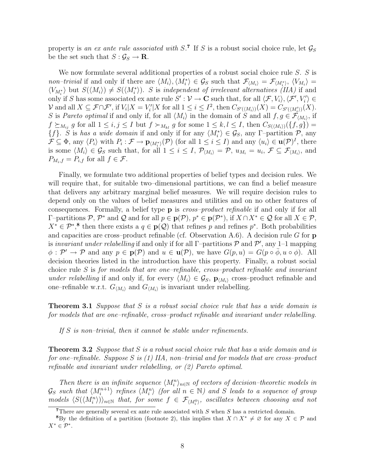property is an ex ante rule associated with S.<sup>7</sup> If S is a robust social choice rule, let  $\mathcal{G}_S$ be the set such that  $S: \mathcal{G}_S \to \mathbf{R}$ .

We now formulate several additional properties of a robust social choice rule S. S is non-trivial if and only if there are  $\langle M_i \rangle, \langle M_i^* \rangle \in \mathcal{G}_S$  such that  $\mathcal{F}_{\langle M_i \rangle} = \mathcal{F}_{\langle M_i^* \rangle}, \langle V_{M_i} \rangle =$  $\langle V_{M_i^*} \rangle$  but  $S(\langle M_i \rangle) \neq S(\langle M_i^* \rangle)$ . S is independent of irrelevant alternatives (IIA) if and only if S has some associated ex ante rule  $S' : \mathcal{V} \to \mathbf{C}$  such that, for all  $\langle \mathcal{F}, V_i \rangle, \langle \mathcal{F}', V'_i \rangle \in$  $\mathcal V$  and all  $X \subseteq \mathcal F \cap \mathcal F'$ , if  $V_i | X = V'_i$  $K_i' | X$  for all  $1 \le i \le I^2$ , then  $C_{S'(\langle M_i \rangle)}(X) = C_{S'(\langle M_i' \rangle)}(X)$ . S is Pareto optimal if and only if, for all  $\langle M_i \rangle$  in the domain of S and all  $f, g \in \mathcal{F}_{\langle M_i \rangle}$ , if  $f \succeq_{M_{ij}} g$  for all  $1 \le i, j \le I$  but  $f \succ_{M_{kl}} g$  for some  $1 \le k, l \le I$ , then  $C_{S(\langle M_i \rangle)}(\lbrace f, g \rbrace)$  =  $\{f\}$ . S is has a wide domain if and only if for any  $\langle M_i^* \rangle \in \mathcal{G}_S$ , any Γ–partition  $\mathcal{P}$ , any  $\mathcal{F} \subseteq \Phi$ , any  $\langle P_i \rangle$  with  $P_i : \mathcal{F} \to \mathbf{p}_{\langle M_i^* \rangle}(\mathcal{P})$  (for all  $1 \leq i \leq I$ ) and any  $\langle u_i \rangle \in \mathbf{u}(\mathcal{P})^I$ , there is some  $\langle M_i \rangle \in \mathcal{G}_S$  such that, for all  $1 \leq i \leq I$ ,  $\mathcal{P}_{\langle M_i \rangle} = \mathcal{P}$ ,  $u_{M_i} = u_i$ ,  $\mathcal{F} \subseteq \mathcal{F}_{\langle M_i \rangle}$ , and  $P_{M_i,f} = P_{i,f}$  for all  $f \in \mathcal{F}$ .

Finally, we formulate two additional properties of belief types and decision rules. We will require that, for suitable two–dimensional partitions, we can find a belief measure that delivers any arbitrary marginal belief measures. We will require decision rules to depend only on the values of belief measures and utilities and on no other features of consequences. Formally, a belief type **p** is *cross–product refinable* if and only if for all  $\Gamma$ -partitions  $\mathcal{P}, \mathcal{P}^*$  and  $\mathcal{Q}$  and for all  $p \in \mathbf{p}(\mathcal{P}), p^* \in \mathbf{p}(\mathcal{P}^*)$ , if  $X \cap X^* \in \mathcal{Q}$  for all  $X \in \mathcal{P}$ ,  $X^* \in \mathcal{P}^*$  then there exists a  $q \in \mathbf{p}(\mathcal{Q})$  that refines p and refines p<sup>\*</sup>. Both probabilities and capacities are cross–product refinable (cf. Observation A.6). A decision rule  $G$  for  $p$ is invariant under relabelling if and only if for all  $\Gamma$ -partitions  $\mathcal P$  and  $\mathcal P'$ , any 1–1 mapping  $\phi: \mathcal{P}' \to \mathcal{P}$  and any  $p \in \mathbf{p}(\mathcal{P})$  and  $u \in \mathbf{u}(\mathcal{P})$ , we have  $G(p, u) = G(p \circ \bar{\phi}, u \circ \phi)$ . All decision theories listed in the introduction have this property. Finally, a robust social choice rule S is for models that are one–refinable, cross–product refinable and invariant under relabelling if and only if, for every  $\langle M_i \rangle \in \mathcal{G}_S$ ,  $\mathbf{p}_{\langle M_i \rangle}$  cross–product refinable and one–refinable w.r.t.  $G_{\langle M_i \rangle}$  and  $G_{\langle M_i \rangle}$  is invariant under relabelling.

**Theorem 3.1** Suppose that S is a robust social choice rule that has a wide domain is for models that are one–refinable, cross–product refinable and invariant under relabelling.

If  $S$  is non-trivial, then it cannot be stable under refinements.

**Theorem 3.2** Suppose that S is a robust social choice rule that has a wide domain and is for one–refinable. Suppose S is  $(1)$  IIA, non–trivial and for models that are cross–product refinable and invariant under relabelling, or (2) Pareto optimal.

Then there is an infinite sequence  $\langle M_i^n \rangle_{n \in \mathbb{N}}$  of vectors of decision-theoretic models in  $\mathcal{G}_S$  such that  $\langle M_i^{n+1} \rangle$  refines  $\langle M_i^n \rangle$  (for all  $n \in \mathbb{N}$ ) and S leads to a sequence of group models  $\langle S(\langle M_i^n \rangle)\rangle_{n\in\mathbb{N}}$  that, for some  $f \in \mathcal{F}_{\langle M_i^n \rangle}$ , oscillates between choosing and not

There are generally several ex ante rule associated with  $S$  when  $S$  has a restricted domain.

<sup>&</sup>lt;sup>8</sup>By the definition of a partition (footnote 2), this implies that  $X \cap X^* \neq \emptyset$  for any  $X \in \mathcal{P}$  and  $X^* \in \mathcal{P}^*$ .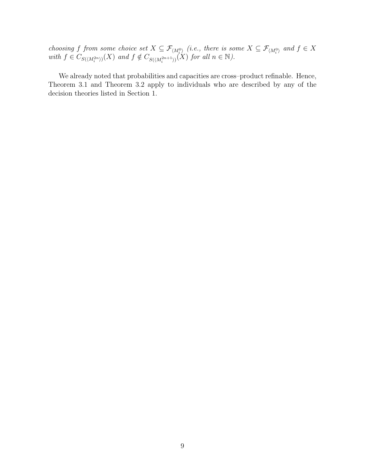choosing f from some choice set  $X \subseteq \mathcal{F}_{\langle M_i^0 \rangle}$  (i.e., there is some  $X \subseteq \mathcal{F}_{\langle M_i^0 \rangle}$  and  $f \in X$ with  $f \in C_{S({\langle M_i^{2n}\rangle})}(X)$  and  $f \notin C_{S({\langle M_i^{2n+1}\rangle})}(X)$  for all  $n \in \mathbb{N}$ ).

We already noted that probabilities and capacities are cross–product refinable. Hence, Theorem 3.1 and Theorem 3.2 apply to individuals who are described by any of the decision theories listed in Section 1.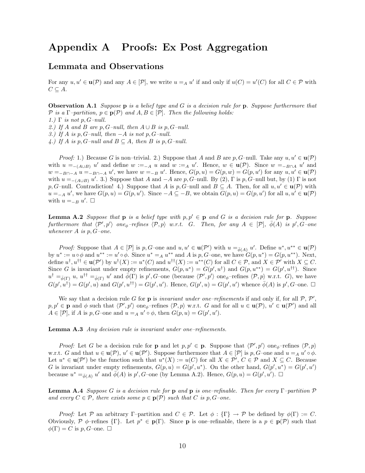## Appendix A Proofs: Ex Post Aggregation

#### Lemmata and Observations

For any  $u, u' \in \mathbf{u}(\mathcal{P})$  and any  $A \in [\mathcal{P}]$ , we write  $u =_A u'$  if and only if  $u(C) = u'(C)$  for all  $C \in \mathcal{P}$  with  $C \subseteq A$ .

**Observation A.1** Suppose  $p$  is a belief type and G is a decision rule for  $p$ . Suppose furthermore that P is a  $\Gamma$ -partition,  $p \in \mathbf{p}(\mathcal{P})$  and  $A, B \in [\mathcal{P}]$ . Then the following holds:

1.)  $\Gamma$  is not p,  $G$ -null.

2.) If A and B are p, G–null, then  $A \cup B$  is p, G–null.

3.) If A is  $p, G-null$ , then  $-A$  is not  $p, G-null$ .

4.) If A is p, G-null and  $B \subseteq A$ , then B is p, G-null.

*Proof:* 1.) Because G is non–trivial. 2.) Suppose that A and B are p, G–null. Take any  $u, u' \in \mathbf{u}(\mathcal{P})$ with  $u = (A \cup B)$  u' and define  $w := A$  u and  $w := A$  u'. Hence,  $w \in \mathbf{u}(\mathcal{P})$ . Since  $w = B \cap A$  u' and  $w =_{-B\cap-A} u =_{-B\cap-A} u'$ , we have  $w =_{-B} u'$ . Hence,  $G(p, u) = G(p, u')$  for any  $u, u' \in \mathbf{u}(\mathcal{P})$ with  $u = (A \cup B)$  u'. 3.) Suppose that A and  $-A$  are p, G–null. By (2),  $\Gamma$  is p, G–null but, by (1)  $\Gamma$  is not p, G–null. Contradiction! 4.) Suppose that A is p, G–null and  $B \subseteq A$ . Then, for all  $u, u' \in \mathbf{u}(\mathcal{P})$  with  $u = A u'$ , we have  $G(p, u) = G(p, u')$ . Since  $-A \subseteq -B$ , we obtain  $G(p, u) = G(p, u')$  for all  $u, u' \in \mathbf{u}(\mathcal{P})$ with  $u =_{-B} u'$ .  $\Box$ 

**Lemma A.2** Suppose that **p** is a belief type with  $p, p' \in \mathbf{p}$  and G is a decision rule for **p**. Suppose furthermore that  $\langle \mathcal{P}', p' \rangle$  one<sub>φ</sub>-refines  $\langle \mathcal{P}, p \rangle$  w.r.t. G. Then, for any  $A \in [\mathcal{P}]$ ,  $\overline{\phi}(A)$  is  $p', \overline{G}$ -one whenever  $A$  is  $p, G$ -one.

*Proof:* Suppose that  $A \in [\mathcal{P}]$  is p, G-one and  $u, u' \in \mathbf{u}(\mathcal{P}')$  with  $u =_{\bar{\phi}(A)} u'$ . Define  $u^*, u^{**} \in \mathbf{u}(\mathcal{P})$ by  $u^* := u \circ \phi$  and  $u^{**} := u' \circ \phi$ . Since  $u^* = A u^{**}$  and A is  $p, G$ -one, we have  $G(p, u^*) = G(p, u^{**})$ . Next, define  $u^{\dagger}, u^{\dagger \dagger} \in \mathbf{u}(\mathcal{P}')$  by  $u^{\dagger}(X) := u^*(C)$  and  $u^{\dagger \dagger}(X) := u^{**}(C)$  for all  $C \in \mathcal{P}$ , and  $X \in \mathcal{P}'$  with  $X \subseteq C$ . Since G is invariant under empty refinements,  $G(p, u^*) = G(p', u^{\dagger})$  and  $G(p, u^{**}) = G(p', u^{\dagger})$ . Since  $u^{\dagger} = \bar{\phi}(\Gamma) u, u^{\dagger \dagger} = \bar{\phi}(\Gamma) u'$  and  $\bar{\phi}(\Gamma)$  is p', G-one (because  $\langle \mathcal{P}', p' \rangle$  one<sub> $\phi$ </sub>-refines  $\langle \mathcal{P}, p \rangle$  w.r.t. G), we have  $G(p',u^{\dagger})=G(p',u)$  and  $G(p',u^{\dagger})=G(p',u')$ . Hence,  $G(p',u)=G(p',u')$  whence  $\bar{\phi}(A)$  is  $p',G$ -one.  $\Box$ 

We say that a decision rule G for **p** is *invariant under one-refinements* if and only if, for all  $P$ ,  $P'$ ,  $p, p' \in \mathbf{p}$  and  $\phi$  such that  $\langle \mathcal{P}', p' \rangle$  one<sub> $\phi$ </sub>-refines  $\langle \mathcal{P}, p \rangle$  w.r.t. G and for all  $u \in \mathbf{u}(\mathcal{P})$ ,  $u' \in \mathbf{u}(\mathcal{P}')$  and all  $A \in [\mathcal{P}]$ , if A is p, G-one and  $u =_A u' \circ \phi$ , then  $G(p, u) = G(p', u')$ .

Lemma A.3 Any decision rule is invariant under one-refinements.

*Proof:* Let G be a decision rule for **p** and let  $p, p' \in \mathbf{p}$ . Suppose that  $\langle \mathcal{P}', p' \rangle$  one<sub> $\phi$ </sub>-refines  $\langle \mathcal{P}, p \rangle$ w.r.t. G and that  $u \in \mathbf{u}(\mathcal{P})$ ,  $u' \in \mathbf{u}(\mathcal{P}')$ . Suppose furthermore that  $A \in [\mathcal{P}]$  is  $p, G$ -one and  $u =_A u' \circ \phi$ . Let  $u^* \in \mathbf{u}(\mathcal{P}')$  be the function such that  $u^*(X) := u(C)$  for all  $X \in \mathcal{P}', C \in \mathcal{P}$  and  $X \subseteq C$ . Because G is invariant under empty refinements,  $G(p, u) = G(p', u^*)$ . On the other hand,  $G(p', u^*) = G(p', u')$ because  $u^* =_{\bar{\phi}(A)} u'$  and  $\bar{\phi}(A)$  is  $p', G$ -one (by Lemma A.2). Hence,  $G(p, u) = G(p', u')$ .

**Lemma A.4** Suppose G is a decision rule for **p** and **p** is one–refinable. Then for every  $\Gamma$ –partition  $\mathcal{P}$ and every  $C \in \mathcal{P}$ , there exists some  $p \in \mathbf{p}(\mathcal{P})$  such that C is p, G-one.

*Proof:* Let  $\mathcal P$  an arbitrary Γ–partition and  $C \in \mathcal P$ . Let  $\phi : {\{\Gamma\}} \to \mathcal P$  be defined by  $\phi(\Gamma) := C$ . Obviously,  $\mathcal P$   $\phi$ -refines  $\{\Gamma\}$ . Let  $p^* \in \mathbf p(\Gamma)$ . Since **p** is one-refinable, there is a  $p \in \mathbf p(\mathcal P)$  such that  $\phi(\Gamma) = C$  is p, G-one.  $\Box$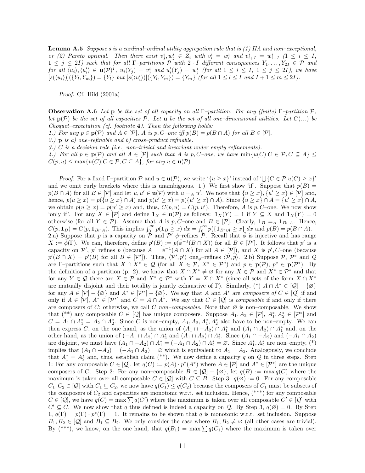Lemma A.5 Suppose s is a cardinal–ordinal utility aggregation rule that is (1) IIA and non–exceptional, or (2) Pareto optimal. Then there exist  $v_j^i, w_j^i \in Z_i$  with  $v_i^i = w_i^i$  and  $v_{i+1}^i = w_{i+1}^i$   $(1 \leq i \leq I,$  $1 \leq j \leq 2I$ ) such that for all  $\Gamma$ -partitions  $\mathcal{P}$  with  $2 \cdot I$  different consequences  $Y_1, \ldots, Y_{2I} \in \mathcal{P}$  and  $for \ all \ \langle u_i\rangle, \langle u'_i\rangle \in {\bf u}({\cal P})^I, \ u_i(Y_j)=v_j^i \ \ and \ \ u'_i(Y_j)=w_j^i \ \ (for \ all \ 1\leq i\leq I, \ 1\leq j\leq 2I), \ we \ have$  $[s(\langle u_i \rangle)](\{Y_l, Y_m\}) = \{Y_l\}$  but  $[s(\langle u'_i \rangle)](\{Y_l, Y_m\}) = \{Y_m\}$  (for all  $1 \leq l \leq I$  and  $I + 1 \leq m \leq 2I$ ).

Proof: Cf. Hild (2001a)

**Observation A.6** Let **p** be the set of all capacity on all  $\Gamma$ -partition. For any (finite)  $\Gamma$ -partition P, let  $p(\mathcal{P})$  be the set of all capacities  $\mathcal{P}$ . Let **u** be the set of all one-dimensional utilities. Let  $C(.,.)$  be  $Chouet-expectation$  (cf. footnote 4). Then the following holds:

1.) For any  $p \in \mathbf{p}(\mathcal{P})$  and  $A \in [\mathcal{P}]$ , A is p, C-one iff  $p(B) = p(B \cap A)$  for all  $B \in [\mathcal{P}]$ .

2.) **p** is a) one–refinable and b) cross–product refinable.

3.)  $C$  is a decision rule (i.e., non-trivial and invariant under empty refinements).

4.) For all  $p \in \mathbf{p}(\mathcal{P})$  and all  $A \in [\mathcal{P}]$  such that A is p, C-one, we have  $\min\{u(C)|C \in \mathcal{P}, C \subseteq A\} \leq$  $C(p, u) \le \max\{u(C)| C \in \mathcal{P}, C \subseteq A\}$ , for any  $u \in \mathbf{u}(\mathcal{P})$ .

*Proof:* For a fixed  $\Gamma$ -partition  $P$  and  $u \in \mathbf{u}(P)$ , we write ' $\{u \geq x\}$ ' instead of ' $\bigcup \{C \in P | u(C) \geq x\}$ ' and we omit curly brackets where this is unambiguous. 1.) We first show 'if'. Suppose that  $p(B)$  $p(B \cap A)$  for all  $B \in [P]$  and let  $u, u' \in \mathbf{u}(P)$  with  $u = A u'$ . We note that  $\{u \geq x\}$ ,  $\{u' \geq x\} \in [P]$  and, hence,  $p(u \ge x) = p(\lbrace u \ge x \rbrace \cap A)$  and  $p(u' \ge x) = p(\lbrace u' \ge x \rbrace \cap A)$ . Since  $\lbrace u \ge x \rbrace \cap A = \lbrace u' \ge x \rbrace \cap A$ , we obtain  $p(u \ge x) = p(u' \ge x)$  and, thus,  $C(p, u) = C(p, u')$ . Therefore, A is p, C-one. We now show 'only if'. For any  $X \in [\mathcal{P}]$  and define  $\mathbf{1}_X \in \mathbf{u}(\mathcal{P})$  as follows:  $\mathbf{1}_X(Y) = 1$  if  $Y \subseteq X$  and  $\mathbf{1}_X(Y) = 0$ otherwise (for all  $Y \in \mathcal{P}$ ). Assume that A is p, C–one and  $B \in [\mathcal{P}]$ . Clearly,  $\mathbf{1}_B =_A \mathbf{1}_{B \cap A}$ . Hence,  $C(p, 1_B) = C(p, 1_{B \cap A})$ . This implies  $\int_0^\infty p(1_B \ge x) dx = \int_0^\infty p(\{1_{B \cap A} \ge x\}) dx$  and  $p(B) = p(B \cap A)$ . 2.a) Suppose that p is a capacity on  $\overline{\mathcal{P}}$  and  $\overline{\mathcal{P}}'$   $\phi$ -refines  $\overline{\mathcal{P}}$ . Recall that  $\overline{\phi}$  is injective and has range  $X := \overline{\phi}(\Gamma)$ . We can, therefore, define  $p'(B) := p(\overline{\phi}^{-1}(B \cap X))$  for all  $B \in [\mathcal{P}']$ . It follows that  $p'$  is a capacity on P', p' refines p (because  $A = \overline{\phi}^{-1}(A \cap X)$  for all  $A \in [\mathcal{P}]$ ), and X is p', C-one (because  $p'(B \cap X) = p'(B)$  for all  $B \in [P']$ . Thus,  $\langle \mathcal{P}', p' \rangle$  one<sub> $\phi$ </sub>-refines  $\langle \mathcal{P}, p \rangle$ . 2.b) Suppose  $\mathcal{P}, \mathcal{P}^*$  and  $\mathcal{Q}$ are Γ–partitions such that  $X \cap X^* \in \mathcal{Q}$  (for all  $X \in \mathcal{P}, X^* \in \mathcal{P}^*$ ) and  $p \in \mathbf{p}(\mathcal{P}), p^* \in \mathbf{p}(\mathcal{P}^*)$ . By the definition of a partition (p. 2), we know that  $X \cap X^* \neq \emptyset$  for any  $X \in \mathcal{P}$  and  $X^* \in \mathcal{P}^*$  and that for any  $Y \in \mathcal{Q}$  there are  $X \in \mathcal{P}$  and  $X^* \in \mathcal{P}^*$  with  $Y = X \cap X^*$  (since all sets of the form  $X \cap X^*$ are mutually disjoint and their totality is jointly exhaustive of Γ). Similarly, (\*)  $A \cap A^* \in [Q] - \{\emptyset\}$ for any  $A \in [\mathcal{P}]-\{\emptyset\}$  and  $A^* \in [\mathcal{P}^*]-\{\emptyset\}$ . We say that A and  $A^*$  are *composers of*  $C \in [\mathcal{Q}]$  if and only if  $A \in [\mathcal{P}], A^* \in [\mathcal{P}^*]$  and  $C = A \cap A^*$ . We say that  $C \in [\mathcal{Q}]$  is *composable* if and only if there are composers of C; otherwise, we call C non–composable. Note that  $\varnothing$  is non–composable. We show that  $(**)$  any composable  $C \in [Q]$  has unique composers. Suppose  $A_1, A_2 \in [P], A_1^*, A_2^* \in [P^*]$  and  $C = A_1 \cap A_1^* = A_2 \cap A_2^*$ . Since C is non–empty,  $A_1, A_2, A_1^*, A_2^*$  also have to be non–empty. We can then express C, on the one hand, as the union of  $(A_1 \cap -A_2) \cap A_1^*$  and  $(A_1 \cap A_2) \cap A_1^*$  and, on the other hand, as the union of  $(-A_1 \cap A_2) \cap A_2^*$  and  $(A_1 \cap A_2) \cap A_2^*$ . Since  $(A_1 \cap -A_2)$  and  $(-A_1 \cap A_2)$ are disjoint, we must have  $(A_1 \cap -A_2) \cap A_1^* = (-A_1 \cap A_2) \cap A_2^* = \emptyset$ . Since  $A_1^*, A_2^*$  are non–empty,  $(*)$ implies that  $(A_1 \cap -A_2) = (-A_1 \cap A_2) = \emptyset$  which is equivalent to  $A_1 = A_2$ . Analogously, we conclude that  $A_1^* = A_2^*$  and, thus, establish claim (\*\*). We now define a capacity q on Q in three steps. Step 1: For any composable  $C \in [Q]$ , let  $q(C) := p(A) \cdot p^*(A^*)$  where  $A \in [P]$  and  $A^* \in [P^*]$  are the unique composers of C. Step 2: For any non–composable  $B \in \mathbb{Q} - \{\emptyset\}$ , let  $q(B) := \max q(C)$  where the maximum is taken over all composable  $C \in [Q]$  with  $C \subseteq B$ . Step 3:  $q(\emptyset) := 0$ . For any composable  $C_1, C_2 \in [Q]$  with  $C_1 \subseteq C_2$ , we now have  $q(C_1) \leq q(C_2)$  because the composers of  $C_1$  must be subsets of the composers of  $C_2$  and capacities are monotonic w.r.t. set inclusion. Hence,  $(*^{**})$  for any composable  $C \in [Q]$ , we have  $q(C) = \max \sum q(C')$  where the maximum is taken over all composable  $C' \in [Q]$  with  $C' \subseteq C$ . We now show that q thus defined is indeed a capacity on Q. By Step 3,  $q(\emptyset) = 0$ . By Step  $1, q(\Gamma) = p(\Gamma) \cdot p^*(\Gamma) = 1$ . It remains to be shown that q is monotonic w.r.t. set inclusion. Suppose  $B_1, B_2 \in [Q]$  and  $B_1 \subseteq B_2$ . We only consider the case where  $B_1, B_2 \neq \emptyset$  (all other cases are trivial). By (\*\*\*), we know, on the one hand, that  $q(B_1) = \max \sum q(C_1)$  where the maximum is taken over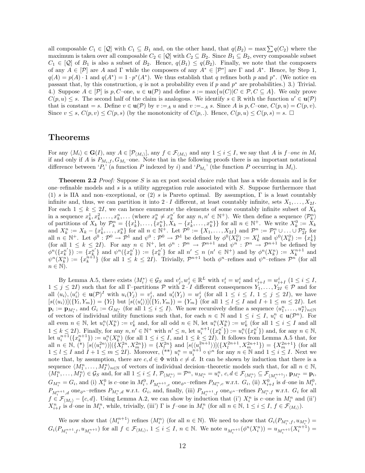all composable  $C_1 \in [Q]$  with  $C_1 \subseteq B_1$  and, on the other hand, that  $q(B_2) = \max \sum q(C_2)$  where the maximum is taken over all composable  $C_2 \in [Q]$  with  $C_2 \subseteq B_2$ . Since  $B_1 \subseteq B_2$ , every composable subset  $C_1 \in [Q]$  of  $B_1$  is also a subset of  $B_2$ . Hence,  $q(B_1) \leq q(B_2)$ . Finally, we note that the composers of any  $A \in [\mathcal{P}]$  are A and  $\Gamma$  while the composers of any  $A^* \in [\mathcal{P}^*]$  are  $\Gamma$  and  $A^*$ . Hence, by Step 1,  $q(A) = p(A) \cdot 1$  and  $q(A^*) = 1 \cdot p^*(A^*)$ . We thus establish that q refines both p and p<sup>\*</sup>. (We notice en passant that, by this construction, q is not a probability even if p and  $p^*$  are probabilities.) 3.) Trivial. 4.) Suppose  $A \in [\mathcal{P}]$  is  $p, C$ -one,  $u \in \mathbf{u}(\mathcal{P})$  and define  $s := \max\{u(C)|C \in \mathcal{P}, C \subseteq A\}$ . We only prove  $C(p, u) \leq s$ . The second half of the claim is analogous. We identify  $s \in \mathbb{R}$  with the function  $u' \in \mathbf{u}(\mathcal{P})$ that is constant = s. Define  $v \in \mathbf{u}(\mathcal{P})$  by  $v :=_A u$  and  $v :=_{A} s$ . Since A is  $p, C$ -one,  $C(p, u) = C(p, v)$ . Since  $v \leq s$ ,  $C(p, v) \leq C(p, s)$  (by the monotonicity of  $C(p, .)$ ). Hence,  $C(p, u) \leq C(p, s) = s$ .  $\Box$ 

#### Theorems

For any  $\langle M_i \rangle \in \mathbf{G}(I)$ , any  $A \in [\mathcal{P}_{\langle M_i \rangle}]$ , any  $f \in \mathcal{F}_{\langle M_i \rangle}$  and any  $1 \leq i \leq I$ , we say that A is  $f$ -one in  $M_i$ if and only if A is  $P_{M_i,f}$ ,  $G_{M_i}$ -one. Note that in the following proofs there is an important notational difference between ' $P_i$ ' (a function P indexed by i) and ' $P_{M_i}$ ' (the function P occurring in  $M_i$ ).

**Theorem 2.2** *Proof:* Suppose S is an ex post social choice rule that has a wide domain and is for one–refinable models and s is a utility aggregation rule associated with  $S$ . Suppose furthermore that (1) s is IIA and non–exceptional, or (2) s is Pareto optimal. By assumption,  $\Gamma$  is a least countably infinite and, thus, we can partition it into  $2 \cdot I$  different, at least countably infinite, sets  $X_1, \ldots, X_{2I}$ . For each  $1 \leq k \leq 2I$ , we can hence enumerate the elements of some countably infinite subset of  $X_k$ in a sequence  $x_k^1, x_k^2, \ldots, x_k^n, \ldots$  (where  $x_k^n \neq x_k^{n'}$ )  $\binom{n'}{k}$  for any  $n, n' \in \mathbb{N}^+$ ). We then define a sequence  $\langle \mathcal{P}_k^n \rangle$ of partitions of  $X_k$  by  $\mathcal{P}_k^n = \{\{x_k^1\}, \ldots, \{x_k^n\}, X_k - \{x_k^1\}, \ldots, x_k^n\}\}\$  for all  $n \in \mathbb{N}^+$ . We write  $X_k^0 := X_k$ and  $X_k^n := X_k - \{x_k^1, \ldots, x_k^n\}$  for all  $n \in \mathbb{N}^+$ . Let  $\mathcal{P}^0 := \{X_1, \ldots, X_{2I}\}$  and  $\mathcal{P}^n := \mathcal{P}_1^n \cup \ldots \cup \mathcal{P}_{2I}^n$  for all  $n \in \mathbb{N}^+$ . Let  $\phi^0 : \mathcal{P}^0 \to \mathcal{P}^1$  and  $\psi^0 : \mathcal{P}^0 \to \mathcal{P}^1$  be defined by  $\phi^0(X_k^0) := X_k^1$  and  $\psi^0(X_k^0) := \{x_k^1\}$ (for all  $1 \leq k \leq 2I$ ). For any  $n \in \mathbb{N}^+$ , let  $\phi^n : \mathcal{P}^n \to \mathcal{P}^{n+1}$  and  $\psi^n : \mathcal{P}^n \to \mathcal{P}^{n+1}$  be defined by  $\phi^n({x_k^n}'$  $\left[\begin{smallmatrix} n' \\ k' \end{smallmatrix}\right] \right) \, := \, \left[\begin{smallmatrix} \overline{n'} \\ \overline{x}^{n'}_k \end{smallmatrix}\right]$  $\begin{bmatrix} n' \\ k \end{bmatrix}$  and  $\psi^n(\{x_k^{n'}\})$  $\{x_k^{n'}\}\right) := \{x_k^{n'}\}$  $\mathbb{R}^{n'}$  for all  $n' \leq n \ (n' \in \mathbb{N}^+)$  and by  $\phi^{n}(X_{k}^{n}) := X_{k}^{n+1}$  and  $\psi^{n}(X_{k}^{n}) := \{x_{k}^{n+1}\}\$  (for all  $1 \leq k \leq 2I$ ). Trivially,  $\mathcal{P}^{n+1}$  both  $\phi^{n}$ -refines and  $\psi^{n}$ -refines  $\mathcal{P}^{n}$  (for all  $n \in \mathbb{N}$ ).

By Lemma A.5, there exists  $\langle M_i^* \rangle \in \mathcal{G}_S$  and  $v_j^i, w_j^i \in \mathbb{R}^L$  with  $v_i^i = w_i^i$  and  $v_{i+1}^i = w_{i+1}^i$   $(1 \le i \le I,$  $1 \leq j \leq 2I$ ) such that for all Γ–partitions P with 2  $\cdot I$  different consequences  $Y_1, \ldots, Y_{2I} \in \mathcal{P}$  and for all  $\langle u_i \rangle, \langle u'_i \rangle \in \mathbf{u}(\mathcal{P})^I$  with  $u_i(Y_j) = v_j^i$ , and  $u'_i(Y_j) = w_j^i$  (for all  $1 \leq i \leq I, 1 \leq j \leq 2I$ ), we have  $[s(\langle u_i \rangle)](\{Y_l, Y_m\}) = \{Y_l\}$  but  $[s(\langle u'_i \rangle)](\{Y_l, Y_m\}) = \{Y_m\}$  (for all  $1 \leq l \leq l$  and  $l + 1 \leq m \leq 2l$ ). Let  $\mathbf{p}_i := \mathbf{p}_{M_i^*}$ , and  $G_i := G_{M_i^*}$  (for all  $1 \leq i \leq I$ ). We now recursively define a sequence  $\langle u_1^n, \ldots, u_I^n \rangle_{n \in \mathbb{N}}$ of vectors of individual utility functions such that, for each  $n \in \mathbb{N}$  and  $1 \leq i \leq I$ ,  $u_i^n \in \mathbf{u}(\mathcal{P}^n)$ . For all even  $n \in \mathbb{N}$ , let  $u_i^n(X_k^n) := v_k^i$  and, for all odd  $n \in \mathbb{N}$ , let  $u_i^n(X_k^n) := w_k^i$  (for all  $1 \leq i \leq I$  and all  $1 \leq k \leq 2I$ ). Finally, for any  $n, n' \in \mathbb{N}^+$  with  $n' \leq n$ , let  $u_i^{n+1}(\lbrace x_k^{n'} \rbrace)$  $\binom{n'}{k}$  :=  $u_i^n(\{x_k^{n'}\})$  ${k \choose k}$  and, for any  $n \in \mathbb{N}$ , let  $u_i^{n+1}(\{x_k^{n+1}\}) := u_i^n(X_k^n)$  (for all  $1 \leq i \leq I$ , and  $1 \leq k \leq 2I$ ). It follows from Lemma A.5 that, for all  $n \in \mathbb{N}$ ,  $\binom{*}{\cdot}$   $[s(\langle u_i^{2n} \rangle)](\{\tilde{X}_l^{2n}, X_m^{2n}\}) = \{X_l^{2n}\}\$  and  $[s(\langle u_i^{2n+1} \rangle)](\{X_l^{2n+1}, X_m^{2n+1}\}) = \{X_m^{2n+1}\}\$  (for all  $1 \leq l \leq I$  and  $I + 1 \leq m \leq 2I$ ). Moreover,  $(*^*)$   $u_i^n = u_i^{n+1} \circ \psi^n$  for any  $n \in \mathbb{N}$  and  $1 \leq i \leq I$ . Next we note that, by assumption, there are  $c, d \in \Phi$  with  $c \neq d$ . It can be shown by induction that there is a sequence  $\langle M_1^n, \ldots, M_I^n \rangle_{n \in \mathbb{N}}$  of vectors of individual decision–theoretic models such that, for all  $n \in \mathbb{N}$ ,  $\langle M_1^n, \ldots, M_I^n \rangle \in \mathcal{G}_S$  and, for all  $1 \leq i \leq I$ ,  $\mathcal{P}_{\langle M_i^n \rangle} = \mathcal{P}^n$ ,  $u_{M_i^n} = u_i^n$ ,  $c, d \in \mathcal{F}_{\langle M_i^n \rangle} \subseteq \mathcal{F}_{\langle M_i^{n+1} \rangle}$ ,  $\mathbf{p}_{M_i^n} = \mathbf{p}_i$ ,  $G_{M_i^n} = G_i$ , and (i)  $X_i^0$  is c-one in  $M_i^0$ ,  $P_{M_i^{n+1},c}$  one<sub> $\phi^n$ </sub>-refines  $P_{M_i^n,c}$  w.r.t.  $G_i$ , (ii)  $X_{i+I}^0$  is d-one in  $M_i^0$ ,  $P_{M_i^{n+1},d}$  one<sub>φ<sup>n</sub>-refines  $P_{M_i^n,d}$  w.r.t.  $G_i$ , and, finally, (iii)  $P_{M_i^{n+1},f}$  one<sub>ψ<sup>n-refines  $P_{M_i^n,f}$ </sup> w.r.t.  $G_i$  for all</sub></sup></sub>  $f \in \mathcal{F}_{(M_i)} - \{c, d\}$ . Using Lemma A.2, we can show by induction that (i)  $X_i^n$  is c-one in  $M_i^n$  and (ii)  $X_{i+1}^n$  is d-one in  $M_i^n$ , while, trivially, (iii')  $\Gamma$  is f-one in  $M_i^n$  (for all  $n \in \mathbb{N}$ ,  $1 \le i \le I$ ,  $f \in \mathcal{F}_{\langle M_i \rangle}$ ).

We now show that  $\langle M_i^{n+1} \rangle$  refines  $\langle M_i^n \rangle$  (for all  $n \in \mathbb{N}$ ). We need to show that  $G_i(P_{M_i^n,f}, u_{M_i^n}) =$  $G_i(P_{M_i^{n+1},f}, u_{M_i^{n+1}})$  for all  $f \in \mathcal{F}_{\langle M_i \rangle}, 1 \leq i \leq I, n \in \mathbb{N}$ . We note  $u_{M_i^{n+1}}(\phi^n(X_i^n)) = u_{M_i^{n+1}}(X_i^{n+1}) =$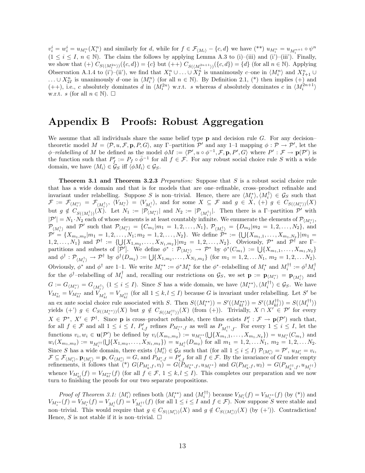$v_i^i = w_i^i = u_{M_i^n}(X_i^n)$  and similarly for d, while for  $f \in \mathcal{F}_{\langle M_i \rangle} - \{c, d\}$  we have  $(*^*) u_{M_i^n} = u_{M_i^{n+1}} \circ \psi^n$  $(1 \leq i \leq I, n \in \mathbb{N})$ . The claim the follows by applying Lemma A.3 to (i)–(iii) and (i')–(iii'). Finally, we show that  $(+) C_{S({M_i^{2n}})}(c,d) = {c}$  but  $(++) C_{S({M_i^{2n+1}})}(c,d) = {d}$  (for all  $n \in \mathbb{N}$ ). Applying Observation A.1.4 to (i')–(ii'), we find that  $X_1^n \cup ... \cup X_I^n$  is unanimously c–one in  $\langle M_i^n \rangle$  and  $X_{I+1}^n \cup$ ...∪  $X_{2I}^n$  is unanimously d-one in  $\langle M_i^n \rangle$  (for all  $n \in \mathbb{N}$ ). By Definition 2.1, (\*) then implies  $(+)$  and  $(++)$ , i.e., c absolutely dominates d in  $\langle M_i^{2n} \rangle$  w.r.t. s whereas d absolutely dominates c in  $\langle M_i^{2n+1} \rangle$ w.r.t. s (for all  $n \in \mathbb{N}$ ).  $\Box$ 

### Appendix B Proofs: Robust Aggregation

We assume that all individuals share the same belief type  $p$  and decision rule G. For any decisiontheoretic model  $M = \langle \mathcal{P}, u, \mathcal{F}, \mathbf{p}, P, G \rangle$ , any Γ–partition  $\mathcal{P}'$  and any 1–1 mapping  $\phi : \mathcal{P} \to \mathcal{P}'$ , let the  $\phi$ -relabelling of M be defined as the model  $\phi M := \langle \mathcal{P}', u \circ \phi^{-1}, \mathcal{F}, \mathbf{p}, P', G \rangle$  where  $P' : \mathcal{F} \to \mathbf{p}(\mathcal{P}')$  is the function such that  $P'_f := P_f \circ \bar{\phi}^{-1}$  for all  $f \in \mathcal{F}$ . For any robust social choice rule S with a wide domain, we have  $\langle M_i \rangle \in \mathcal{G}_S$  iff  $\langle \phi M_i \rangle \in \mathcal{G}_S$ .

**Theorem 3.1 and Theorem 3.2.3** Preparation: Suppose that S is a robust social choice rule that has a wide domain and that is for models that are one–refinable, cross–product refinable and invariant under relabelling. Suppose S is non–trivial. Hence, there are  $\langle M_i^* \rangle, \langle M_i^{\dagger} \rangle \in \mathcal{G}_S$  such that  $\mathcal{F} := \mathcal{F}_{\langle M_i^* \rangle} = \mathcal{F}_{\langle M_i^* \rangle}, \quad \langle V_{M_i^*} \rangle = \langle V_{M_i^*} \rangle,$  and for some  $X \subseteq \mathcal{F}$  and  $g \in X, \quad (+) \, g \in C_{S(\langle M_i^* \rangle)}(X)$ but  $g \notin C_{S((M_i^{\dagger}))}(X)$ . Let  $N_1 := |\mathcal{P}_{(M_i^*)}|$  and  $N_2 := |\mathcal{P}_{(M_i^{\dagger})}|$ . Then there is a  $\Gamma$ -partition  $\mathcal{P}'$  with  $|\mathcal{P}'| = N_1 \cdot N_2$  each of whose elements is at least countably infinite. We enumerate the elements of  $\mathcal{P}_{\langle M^*_{i} \rangle}$ ,  $\mathcal{P}_{\langle M_i^{\dagger} \rangle}^{\dagger}$  and  $\mathcal{P}'$  such that  $\mathcal{P}_{\langle M_i^* \rangle} = \{C_{m_1}|m_1 = 1, 2, ..., N_1\}, \ \mathcal{P}_{\langle M_i^{\dagger} \rangle}^{\dagger} = \{D_{m_2}|m_2 = 1, 2, ..., N_2\},\$  $\mathcal{P}' = \{X_{m_1,m_2}|m_1=1,2,\ldots,N_1;m_2=1,2,\ldots,N_2\}$ . We define  $\mathcal{P}^* := \{\bigcup\{X_{m_1,1},\ldots,X_{m_1,N_2}\}|m_1=1,\ldots,N_1\}$  $[1, 2, \ldots, N_1]$  and  $\mathcal{P}^{\dagger} := \{ \bigcup \{X_{1,m_2}, \ldots, X_{N_1,m_2}\} | m_2 = 1, 2, \ldots, N_2 \}.$  Obviously,  $\mathcal{P}^*$  and  $\mathcal{P}^{\dagger}$  are  $\Gamma$ partitions and subsets of  $[\mathcal{P}']$ . We define  $\phi^* : \mathcal{P}_{\langle M^*_i \rangle} \to \mathcal{P}^*$  by  $\phi^*(C_{m_1}) := \bigcup \{X_{m_1,1}, \ldots, X_{m_1,N_2}\}$ and  $\phi^{\dagger} : \mathcal{P}_{\langle M_i^{\dagger} \rangle} \to \mathcal{P}^{\dagger}$  by  $\phi^{\dagger}(D_{m_2}) := \bigcup \{X_{1,m_2}, \ldots, X_{N_1,m_2}\}$  (for  $m_1 = 1, 2, \ldots N_1, m_2 = 1, 2, \ldots N_2$ ). Obviously,  $\phi^*$  and  $\phi^{\dagger}$  are 1–1. We write  $M_i^{**} := \phi^* M_i^*$  for the  $\phi^*$ -relabelling of  $M_i^*$  and  $M_i^{\dagger \dagger} := \phi^{\dagger} M_i^{\dagger}$ for the  $\phi^{\dagger}$ -relabelling of  $M_i^{\dagger}$  and, recalling our restrictions on  $\mathcal{G}_S$ , we set  $\mathbf{p} := \mathbf{p}_{\langle M_i^* \rangle} = \mathbf{p}_{\langle M_i^* \rangle}$  and  $G := G_{\langle M_i^* \rangle} = G_{\langle M_i^* \rangle}$   $(1 \leq i \leq I)$ . Since S has a wide domain, we have  $\langle M_i^{**} \rangle, \langle M_i^{\dagger \dagger} \rangle \in \mathcal{G}_S$ . We have  $V_{M_{kl}^*} = V_{M_{kl}^{**}}^{M_{kl}^*}$  and  $V_{M_{kl}^{\dagger}}^{M_{kl}^*} = V_{M_{kl}^{\dagger\dagger}}$  (for all  $1 \leq k, l \leq I$ ) because G is invariant under relabelling. Let S' be an ex ante social choice rule associated with S. Then  $S(\langle M_i^{**} \rangle) = S'(\langle M_{kl}^{\dagger *} \rangle) = S'(\langle M_{kl}^{\dagger *} \rangle) = S(\langle M_i^{\dagger *} \rangle)$ yields  $(+)$   $g \in C_{S(\langle M_i^{**}\rangle)}(X)$  but  $g \notin C_{S(\langle M_i^{+ \dagger}\rangle)}(X)$  (from  $(+)$ ). Trivially,  $X \cap X' \in \mathcal{P}'$  for every  $X \in \mathcal{P}^*, X' \in \mathcal{P}^{\dagger}$ . Since **p** is cross-product refinable, there thus exists  $P'_i : \mathcal{F} \to \mathbf{p}(\mathcal{P}')$  such that, for all  $f \in \mathcal{F}$  and all  $1 \leq i \leq I$ ,  $P'_{i,f}$  refines  $P_{M_i^{**},f}$  as well as  $P_{M_i^{+\dagger},f}$ . For every  $1 \leq i \leq I$ , let the functions  $v_i, w_i \in \mathbf{u}(\mathcal{P}')$  be defined by  $v_i(X_{m_1,m_2}) := u_{M_i^{**}}(\bigcup \{X_{m_1,1},\ldots,X_{m_1,N_2}\}) = u_{M_i^{*}}(C_{m_1})$  and  $w_i(X_{m_1,m_2}) := u_{M_i^{\dagger}}(\bigcup \{X_{1,m_2},\ldots,X_{N_1,m_2}\}) = u_{M_i^{\dagger}}(D_{m_2})$  for all  $m_1 = 1,2,\ldots,N_1$ ,  $m_2 = 1,2,\ldots,N_2$ . Since S has a wide domain, there exists  $\langle M'_i \rangle \in \mathcal{G}_S$  such that (for all  $1 \leq i \leq I$ )  $\mathcal{P}_{\langle M'_i \rangle} = \mathcal{P}'$ ,  $u_{M'_i} = v_i$ ,  $\mathcal{F} \subseteq \mathcal{F}_{\langle M'_i \rangle}, \mathbf{p}_{\langle M'_i \rangle} = \mathbf{p}, G_{\langle M'_i \rangle} = G$ , and  $P_{M'_i, f} = P'_{i, f}$  for all  $f \in \mathcal{F}$ . By the invariance of G under empty refinements, it follows that (\*)  $G(P_{M'_{k},f},v_{l}) = G(P_{M^{**}_{k},f},u_{M^{**}_{l}})$  and  $G(P_{M'_{k},f},w_{l}) = G(P_{M^{+\dagger}_{k},f},u_{M^{+\dagger}_{l}})$ whence  $V_{M'_{kl}}(f) = V_{M^{**}_{kl}}(f)$  (for all  $f \in \mathcal{F}, 1 \leq k, l \leq I$ ). This completes our preparation and we now turn to finishing the proofs for our two separate propositions.

*Proof of Theorem 3.1:*  $\langle M_i' \rangle$  refines both  $\langle M_i^{**} \rangle$  and  $\langle M_i^{\dagger \dagger} \rangle$  because  $V_{M_i'}(f) = V_{M_i^{**}}(f)$  (by (\*)) and  $V_{M_i^*}(f) = V_{M_i^*}(f) = V_{M_i^{\dagger}}(f) = V_{M_i^{\dagger}}(f)$  (for all  $1 \leq i \leq I$  and  $f \in \mathcal{F}$ ). Now suppose S were stable and non–trivial. This would require that  $g \in C_{S({M'_i})}(X)$  and  $g \notin C_{S({M'_i})}(X)$  (by  $(+')$ ). Contradiction! Hence, S is not stable if it is non-trivial.  $\Box$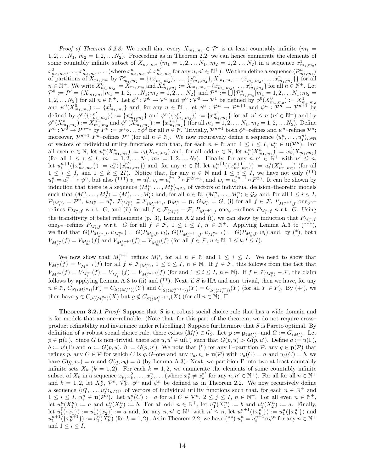*Proof of Theorem 3.2.3:* We recall that every  $X_{m_1,m_2} \in \mathcal{P}'$  is at least countably infinite  $(m_1 =$  $1, 2, \ldots N_1, m_2 = 1, 2, \ldots N_2$ . Proceeding as in Theorem 2.2, we can hence enumerate the elements of some countably infinite subset of  $X_{m_1,m_2}$   $(m_1 = 1, 2, \ldots N_1, m_2 = 1, 2, \ldots N_2)$  in a sequence  $x_n^1$  $\frac{1}{m_1,m_2},$  $x_{m_1,m_2}^2, \ldots, x_{m_1,m_2}^n, \ldots$  (where  $x_{m_1,m_2}^n \neq x_m^{n'}$  $m'_1, m_2$  for any  $n, n' \in \mathbb{N}^+$ ). We then define a sequence  $\langle \mathcal{P}_{m_1,m_2}^n \rangle$ of partitions of  $X_{m_1,m_2}$  by  $\mathcal{P}_{m_1,m_2}^n = {\{\{x_{m_1,m_2}^1\},\ldots,\{x_{m_1,m_2}^n\},X_{m_1,m_2} - \{x_{m_1,m_2}^1,\ldots,x_{m_1,m_2}^n\}\}}$  for all  $n \in \mathbb{N}^+$ . We write  $X_{m_1,m_2}^0 := X_{m_1,m_2}^0$  and  $X_{m_1,m_2}^n := X_{m_1,m_2}^0 - \{x_{m_1,m_2}^1, \ldots, x_{m_1,m_2}^n\}$  for all  $n \in \mathbb{N}^+$ . Let  $\mathcal{P}^0 := \mathcal{P}' = \{X_{m_1,m_2}|m_1 = 1, 2, \ldots N_1; m_2 = 1, 2, \ldots N_2\}$  and  $\mathcal{P}^n := \bigcup \{\mathcal{P}^n_{m_1,m_2}|m_1 = 1, 2, \ldots N_1; m_2 = 1, 2, \ldots N_2\}$ 1, 2, . . .  $N_2$ } for all  $n \in \mathbb{N}^+$ . Let  $\phi^0 : \mathcal{P}^0 \to \mathcal{P}^1$  and  $\psi^0 : \mathcal{P}^0 \to \mathcal{P}^1$  be defined by  $\phi^0(X^0_{m_1,m_2}) := X^1_{m_1,m_2}$ <br>and  $\psi^0(X^0_{m_1,m_2}) := \{x^1_{m_1,m_2}\}$  and, for any  $n \in \mathbb{N}^+$ , let  $\phi^n : \$ defined by  $\phi^n({x^{n'}_{m_1,m_2}}) := {x^{n'}_{m_1,m_2}}$  and  $\psi^n({x^{n'}_{m_1,m_2}}) := {x^{n'}_{m_1,m_2}}$  for all  $n' \le n$   $(n' \in \mathbb{N}^+)$  and by  $\phi^n(X_{m_1,m_2}^n) := X_{m_1,m_2}^{n+1}$  and  $\psi^n(X_{m_1,m_2}^n) := \{x_{m_1,m_2}^{n+1}\}$  (for all  $m_1 = 1, 2, \ldots N_1, m_2 = 1, 2, \ldots N_2$ ). Define  $F^n : \mathcal{P}^0 \to \mathcal{P}^{n+1}$  by  $F^n := \phi^n \circ \dots \circ \phi^0$  for all  $n \in \mathbb{N}$ . Trivially,  $\mathcal{P}^{n+1}$  both  $\phi^n$ -refines and  $\psi^n$ -refines  $\mathcal{P}^n$ ; moreover,  $\mathcal{P}^{n+1}$   $F^n$ -refines  $\mathcal{P}^0$  (for all  $n \in \mathbb{N}$ ). We now recursively define a sequence  $\langle u_1^n, \ldots, u_l^n \rangle_{n \in \mathbb{N}}$ of vectors of individual utility functions such that, for each  $n \in \mathbb{N}$  and  $1 \leq i \leq I$ ,  $u_i^n \in \mathbf{u}(\mathcal{P}^n)$ . For all even  $n \in \mathbb{N}$ , let  $u_i^n(X_{m_1,m_2}^n) := v_i(X_{m_1,m_2})$  and, for all odd  $n \in \mathbb{N}$ , let  $u_i^n(X_{m_1,m_2}^n) := w_i(X_{m_1,m_2})$ (for all  $1 \leq i \leq I$ ,  $m_1 = 1, 2, \ldots N_1$ ,  $m_2 = 1, 2, \ldots N_2$ ). Finally, for any  $n, n' \in \mathbb{N}^+$  with  $n' \leq n$ , let  $u_i^{n+1}(\lbrace \overline{x_m}^{n'} \rbrace)$  $\binom{n'}{m_1,m_2}$  )  $:= u_i^n(\{x^{n'}_m\})$  $\{m_1', m_2\}$ ) and, for any  $n \in \mathbb{N}$ , let  $u_i^{n+1}(\{x_{m_1,m_2}^{n+1}\}) := u_i^n(X_{m_1,m_2}^n)$  (for all  $1 \leq i \leq I$ , and  $1 \leq k \leq 2I$ ). Notice that, for any  $n \in \mathbb{N}$  and  $1 \leq i \leq I$ , we have not only  $(*^*)$  $u_i^n = u_i^{n+1} \circ \psi^n$ , but also (\*\*\*)  $v_i = u_i^0$ ,  $v_i = u_i^{2n+2} \circ F^{2n+1}$ , and  $w_i = u_i^{2n+1} \circ F^{2n}$ . It can be shown by induction that there is a sequence  $\langle M_1^n, \ldots, M_I^n \rangle_{n \in \mathbb{N}}$  of vectors of individual decision–theoretic models such that  $\langle M_1^0, \ldots, M_I^0 \rangle = \langle M_1', \ldots, M_I' \rangle$  and, for all  $n \in \mathbb{N}$ ,  $\langle M_1^n, \ldots, M_I^n \rangle \in \mathcal{G}_S$  and, for all  $1 \leq i \leq I$ ,  $\mathcal{P}_{\langle M_i^n \rangle} = \mathcal{P}^n, u_{M_i^n} = u_i^n, \ \mathcal{F}_{\langle M_i^n \rangle} \subseteq \mathcal{F}_{\langle M_i^{n+1} \rangle}, \ \mathbf{p}_{M_i^n} = \mathbf{p}, \ G_{M_i^n} = G, \ (i) \text{ for all } f \in \mathcal{F}, \ P_{M_i^{n+1},f} \text{ one}_{\phi^{n-1}}$ refines  $P_{M_i^n,f}$  w.r.t. G, and (ii) for all  $\dot{f} \in \mathcal{F}_{\langle M_i^n \rangle} - \mathcal{F}, P_{M_i^{n+1},f}$  one<sub> $\psi^n$ </sub>-refines  $P_{M_i^n,f}$  w.r.t. G. Using the transitivity of belief refinements (p. 3), Lemma A.2 and (i), we can show by induction that  $P_{M_i^n,f}$ one<sub>F<sup>n</sub>-refines  $P_{M'_i,f}$  w.r.t. G for all  $f \in \mathcal{F}$ ,  $1 \leq i \leq I$ ,  $n \in \mathbb{N}^+$ . Applying Lemma A.3 to  $(*^{**})$ ,</sub></sup> we find that  $G(P_{M_k^{2n},f},u_{M_l^{2n}})=G(P_{M'_k,f},v_l)$ ,  $G(P_{M_k^{2n+1},f},u_{M_l^{2n+1}})=G(P_{M'_k,f},w_l)$  and, by (\*), both  $V_{M_{kl}^{2n}}(f) = V_{M_{kl}^{**}}(f)$  and  $V_{M_{kl}^{2n+1}}(f) = V_{M_{kl}^{**}}(f)$  (for all  $f \in \mathcal{F}, n \in \mathbb{N}, 1 \leq k, l \leq I$ ).

We now show that  $M_i^{n+1}$  refines  $M_i^n$ , for all  $n \in \mathbb{N}$  and  $1 \leq i \leq I$ . We need to show that  $V_{M_i^n}(f) = V_{M_i^{n+1}}(f)$  for all  $f \in \mathcal{F}_{\langle M_i^n \rangle}, 1 \leq i \leq I, n \in \mathbb{N}$ . If  $f \in \mathcal{F}$ , this follows from the fact that  $V_{M_i^{2n}}(f) = V_{M_i^{**}}(f) = V_{M_i^{1\dagger}}(f) = V_{M_i^{2n+1}}(f)$  (for and  $1 \leq i \leq I, n \in \mathbb{N}$ ). If  $f \in \mathcal{F}_{\langle M_i^n \rangle} - \mathcal{F}$ , the claim follows by applying Lemma A.3 to (ii) and (\*\*). Next, if S is IIA and non–trivial, then we have, for any  $n \in \mathbb{N}, \ C_{S(\langle M_i^{2n} \rangle)}(Y) = C_{S(\langle M_i^{**} \rangle)}(Y)$  and  $C_{S(\langle M_i^{2n+1} \rangle)}(Y) = C_{S(\langle M_i^{1\dagger} \rangle)}(Y)$  (for all  $Y \in F$ ). By (+'), we then have  $g \in C_{S({M_i^{2n}})}(X)$  but  $g \notin C_{S({M_i^{2n+1}})}(X)$  (for all  $n \in \mathbb{N}$ ).  $\Box$ 

**Theorem 3.2.1** *Proof:* Suppose that S is a robust social choice rule that has a wide domain and is for models that are one–refinable. (Note that, for this part of the theorem, we do not require cross– product refinability and invariance under relabelling.) Suppose furthermore that  $S$  is Pareto optimal. By definition of a robust social choice rule, there exists  $\langle M_i^* \rangle \in \mathcal{G}_S$ . Let  $\mathbf{p} := \mathbf{p}_{\langle M_i^* \rangle}$ , and  $G := G_{\langle M_i^* \rangle}$ . Let  $p \in \mathbf{p}(\Gamma)$ . Since G is non-trivial, there are  $u, u' \in \mathbf{u}(\Gamma)$  such that  $G(p, u) > G(p, u')$ . Define  $a := u(\Gamma)$ ,  $\hat{b} := u'(\Gamma)$  and  $\alpha := G(p, u), \beta := G(p, u')$ . We note that (\*) for any  $\Gamma$ -partition  $\mathcal{P}$ , any  $q \in \mathbf{p}(\mathcal{P})$  that refines p, any  $C \in \mathcal{P}$  for which C is q, G–one and any  $v_a, v_b \in \mathbf{u}(\mathcal{P})$  with  $v_a(C) = a$  and  $u_b(C) = b$ , we have  $G(q, v_a) = \alpha$  and  $G(q, v_b) = \beta$  (by Lemma A.3). Next, we partition Γ into two at least countably infinite sets  $X_k$   $(k = 1, 2)$ . For each  $k = 1, 2$ , we enumerate the elements of some countably infinite subset of  $X_k$  in a sequence  $x_k^1, x_k^2, \ldots, x_k^n, \ldots$  (where  $x_k^n \neq x_k^{n'}$  $k^{n'}_k$  for any  $n, n' \in \mathbb{N}^+$ ). For all for all  $n \in \mathbb{N}^+$ and  $k = 1, 2$ , let  $X_k^n$ ,  $\mathcal{P}^n$ ,  $\mathcal{P}_k^n$ ,  $\phi^n$  and  $\psi^n$  be defined as in Theorem 2.2. We now recursively define a sequence  $\langle u_1^n, \ldots, u_l^n \rangle_{n \in \mathbb{N}^+}$  of vectors of individual utility functions such that, for each  $n \in \mathbb{N}^+$  and  $1 \leq i \leq I, u_i^n \in \mathbf{u}(\mathcal{P}^n)$ . Let  $u_j^n(C) := a$  for all  $C \in \mathcal{P}^n$ ,  $2 \leq j \leq I$ ,  $n \in \mathbb{N}^+$ . For all even  $n \in \mathbb{N}^+$ , let  $u_1^n(X_1^n) := a$  and  $u_1^n(X_2^n) := b$ . For all odd  $n \in \mathbb{N}^+$ , let  $u_1^n(X_1^n) := b$  and  $u_1^n(X_2^n) := a$ . Finally, let  $u_1^1(\{x_1^1\}) := u_1^1(\{x_2^1\}) := a$  and, for any  $n, n' \in \mathbb{N}^+$  with  $n' \leq n$ , let  $u_1^{n+1}(\{x_k^n\})$  $\begin{pmatrix} n \\ k \end{pmatrix}$   $\sum_{i=1}^{n} u_1^n (\{x_k^{n'}\})$  $\binom{n'}{k}$  and  $u_1^{n+1}(\{x_k^{n+1}\}) := u_1^n(X_k^n)$  (for  $k = 1, 2$ ). As in Theorem 2.2, we have  $(**)$   $u_i^n = u_i^{n+1} \circ \psi^n$  for any  $n \in \mathbb{N}^+$ and  $1 \leq i \leq I$ .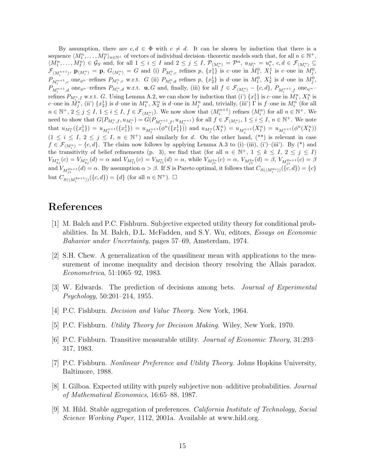By assumption, there are  $c, d \in \Phi$  with  $c \neq d$ . It can be shown by induction that there is a sequence  $\langle M_1^n, \ldots, M_I^n \rangle_{n \in \mathbb{N}^+}$  of vectors of individual decision–theoretic models such that, for all  $n \in \mathbb{N}^+$ ,  $\langle M_1^n, \ldots, M_I^n \rangle \in \mathcal{G}_S$  and, for all  $1 \leq i \leq I$  and  $2 \leq j \leq I$ ,  $\mathcal{P}_{\langle M_i^n \rangle} = \mathcal{P}^n$ ,  $u_{M_i^n} = u_i^n$ ,  $c, d \in \mathcal{F}_{\langle M_i^n \rangle} \subseteq$  $\mathcal{F}_{\langle M^{n+1}_i \rangle}, \; \mathbf{p}_{\langle M^n_i \rangle} = \mathbf{p}, \; G_{\langle M^n_i \rangle} = G \; \text{and} \; \text{(i)} \; P_{M^0_i,c} \; \text{refines} \; p, \; \{x^1_1\} \; \text{is} \; c\text{-one in} \; M^0_1, \; X^1_1 \; \text{is} \; c\text{-one in} \; M^0_j,$  $P_{M_i^{n+1},c}$  one<sub> $\phi^n$ </sub>-refines  $P_{M_i^n,c}$  w.r.t. G (ii)  $P_{M_i^0,d}$  refines p,  $\{x_2^1\}$  is d-one in  $M_1^0$ ,  $X_2^1$  is d-one in  $M_j^0$ ,  $P_{M_i^{n+1},d}$  one<sub> $\phi^n$ </sub>-refines  $P_{M_i^n,d}$  w.r.t. **u**, G and, finally, (iii) for all  $f \in \mathcal{F}_{\langle M_i^n \rangle} - \{c, d\}$ ,  $P_{M_i^{n+1},f}$  one<sub> $\psi^n$ </sub>refines  $P_{M_i^n, f}$  w.r.t. G. Using Lemma A.2, we can show by induction that (i')  $\{x_1^1\}$  is c-one in  $M_1^n, X_1^n$  is c–one in  $\dot{M}_j^n$ , (ii')  $\{x_2^1\}$  is d–one in  $M_1^n$ ,  $X_2^n$  is d–one in  $M_j^n$  and, trivially, (iii')  $\Gamma$  is f–one in  $M_i^n$  (for all  $n \in \mathbb{N}^+, 2 \leq j \leq I, 1 \leq i \leq I, f \in \mathcal{F}_{\langle M_i^n \rangle}$ ). We now show that  $\langle M_i^{n+1} \rangle$  refines  $\langle M_i^n \rangle$  for all  $n \in \mathbb{N}^+$ . We need to show that  $G(P_{M_i^n,f}, u_{M_i^n}) = G(P_{M_i^{n+1},f}, u_{M_i^{n+1}})$  for all  $f \in \mathcal{F}_{\langle M_i^n \rangle}, 1 \leq i \leq I, n \in \mathbb{N}^+$ . We note that  $u_{M_1^n}(\{x_1^1\}) = u_{M_1^{n+1}}(\{x_1^1\}) = u_{M_1^{n+1}}(\phi^n(\{x_1^1\})$  and  $u_{M_j^n}(X_1^n) = u_{M_j^{n+1}}(X_1^n) = u_{M_j^{n+1}}(\phi^n(X_1^n))$  $(1 \leq i \leq I, 2 \leq j \leq I, n \in \mathbb{N}^+)$  and similarly for d. On the other hand,  $(*^*)$  is relevant in case  $f \in \mathcal{F}_{\langle M_i^n \rangle} - \{c, d\}.$  The claim now follows by applying Lemma A.3 to (i)–(iii), (i')–(iii'). By (\*) and the transitivity of belief refinements (p. 3), we find that (for all  $n \in \mathbb{N}^+$ ,  $1 \leq k \leq I$ ,  $2 \leq j \leq I$ )  $V_{M_{kj}^n}(c) = V_{M_{kj}^n}(d) = \alpha$  and  $V_{M_{11}^n}(c) = V_{M_{11}^n}(d) = \alpha$ , while  $V_{M_{j1}^{2n}}(c) = \alpha$ ,  $V_{M_{j1}^{2n}}(d) = \beta$ ,  $V_{M_{j1}^{2n+1}}(c) = \beta$ and  $V_{M^{2n+1}_{j1}}(d) = \alpha$ . By assumption  $\alpha > \beta$ . If S is Pareto optimal, it follows that  $C_{S(\langle M^{2n}_{i} \rangle)}(\{c, d\}) = \{c\}$ but  $C_{S({M_i^{2n+1}})}({c,d}) = {d}$  (for all  $n \in \mathbb{N}^+$ ).  $\square$ 

## References

- [1] M. Balch and P.C. Fishburn. Subjective expected utility theory for conditional probabilities. In M. Balch, D.L. McFadden, and S.Y. Wu, editors, Essays on Economic Bahavior under Uncertainty, pages 57–69, Amsterdam, 1974.
- [2] S.H. Chew. A generalization of the quasilinear mean with applications to the measurement of income inequality and decision theory resolving the Allais paradox. Econometrica, 51:1065–92, 1983.
- [3] W. Edwards. The prediction of decisions among bets. Journal of Experimental Psychology, 50:201–214, 1955.
- [4] P.C. Fishburn. Decision and Value Theory. New York, 1964.
- [5] P.C. Fishburn. Utility Theory for Decision Making. Wiley, New York, 1970.
- [6] P.C. Fishburn. Transitive measurable utility. Journal of Economic Theory, 31:293– 317, 1983.
- [7] P.C. Fishburn. Nonlinear Preference and Utility Theory. Johns Hopkins University, Baltimore, 1988.
- [8] I. Gilboa. Expected utility with purely subjective non–additive probabilities. Journal of Mathematical Economics, 16:65–88, 1987.
- [9] M. Hild. Stable aggregation of preferences. California Institute of Technology, Social Science Working Paper, 1112, 2001a. Available at www.hild.org.